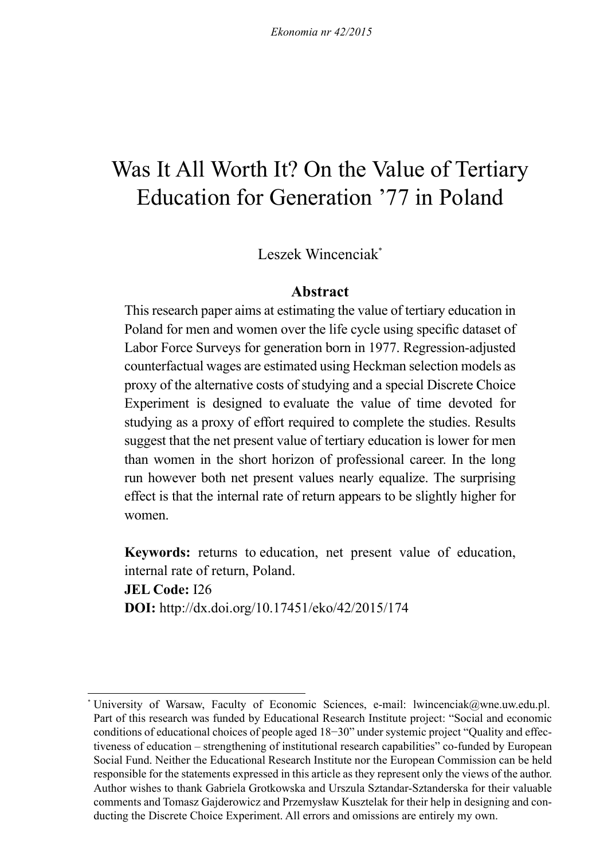# Was It All Worth It? On the Value of Tertiary Education for Generation '77 in Poland

Leszek Wincenciak\*

### **Abstract**

This research paper aims at estimating the value of tertiary education in Poland for men and women over the life cycle using specific dataset of Labor Force Surveys for generation born in 1977. Regression-adjusted counterfactual wages are estimated using Heckman selection models as proxy of the alternative costs of studying and a special Discrete Choice Experiment is designed to evaluate the value of time devoted for studying as a proxy of effort required to complete the studies. Results suggest that the net present value of tertiary education is lower for men than women in the short horizon of professional career. In the long run however both net present values nearly equalize. The surprising effect is that the internal rate of return appears to be slightly higher for women.

**Keywords:** returns to education, net present value of education, internal rate of return, Poland.

**JEL Code:** I26 **DOI:** http://dx.doi.org/10.17451/eko/42/2015/174

University of Warsaw, Faculty of Economic Sciences, e-mail: lwincenciak@wne.uw.edu.pl. Part of this research was funded by Educational Research Institute project: "Social and economic conditions of educational choices of people aged 18−30" under systemic project "Quality and effectiveness of education – strengthening of institutional research capabilities" co-funded by European Social Fund. Neither the Educational Research Institute nor the European Commission can be held responsible for the statements expressed in this article as they represent only the views of the author. Author wishes to thank Gabriela Grotkowska and Urszula Sztandar-Sztanderska for their valuable comments and Tomasz Gajderowicz and Przemysław Kusztelak for their help in designing and conducting the Discrete Choice Experiment. All errors and omissions are entirely my own.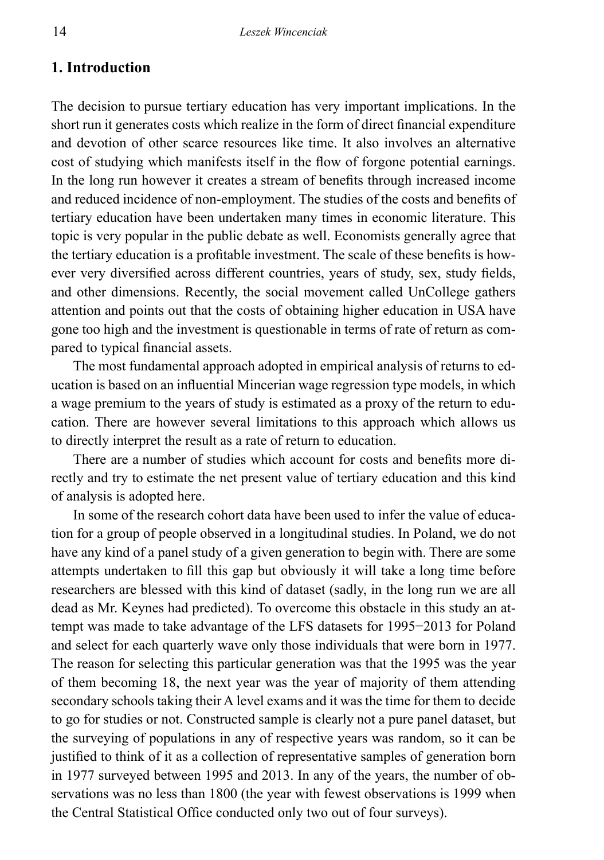# **1. Introduction**

The decision to pursue tertiary education has very important implications. In the short run it generates costs which realize in the form of direct financial expenditure and devotion of other scarce resources like time. It also involves an alternative cost of studying which manifests itself in the flow of forgone potential earnings. In the long run however it creates a stream of benefits through increased income and reduced incidence of non-employment. The studies of the costs and benefits of tertiary education have been undertaken many times in economic literature. This topic is very popular in the public debate as well. Economists generally agree that the tertiary education is a profitable investment. The scale of these benefits is however very diversified across different countries, years of study, sex, study fields, and other dimensions. Recently, the social movement called UnCollege gathers attention and points out that the costs of obtaining higher education in USA have gone too high and the investment is questionable in terms of rate of return as compared to typical financial assets.

The most fundamental approach adopted in empirical analysis of returns to education is based on an influential Mincerian wage regression type models, in which a wage premium to the years of study is estimated as a proxy of the return to education. There are however several limitations to this approach which allows us to directly interpret the result as a rate of return to education.

There are a number of studies which account for costs and benefits more directly and try to estimate the net present value of tertiary education and this kind of analysis is adopted here.

In some of the research cohort data have been used to infer the value of education for a group of people observed in a longitudinal studies. In Poland, we do not have any kind of a panel study of a given generation to begin with. There are some attempts undertaken to fill this gap but obviously it will take a long time before researchers are blessed with this kind of dataset (sadly, in the long run we are all dead as Mr. Keynes had predicted). To overcome this obstacle in this study an attempt was made to take advantage of the LFS datasets for 1995−2013 for Poland and select for each quarterly wave only those individuals that were born in 1977. The reason for selecting this particular generation was that the 1995 was the year of them becoming 18, the next year was the year of majority of them attending secondary schools taking their A level exams and it was the time for them to decide to go for studies or not. Constructed sample is clearly not a pure panel dataset, but the surveying of populations in any of respective years was random, so it can be justified to think of it as a collection of representative samples of generation born in 1977 surveyed between 1995 and 2013. In any of the years, the number of observations was no less than 1800 (the year with fewest observations is 1999 when the Central Statistical Office conducted only two out of four surveys).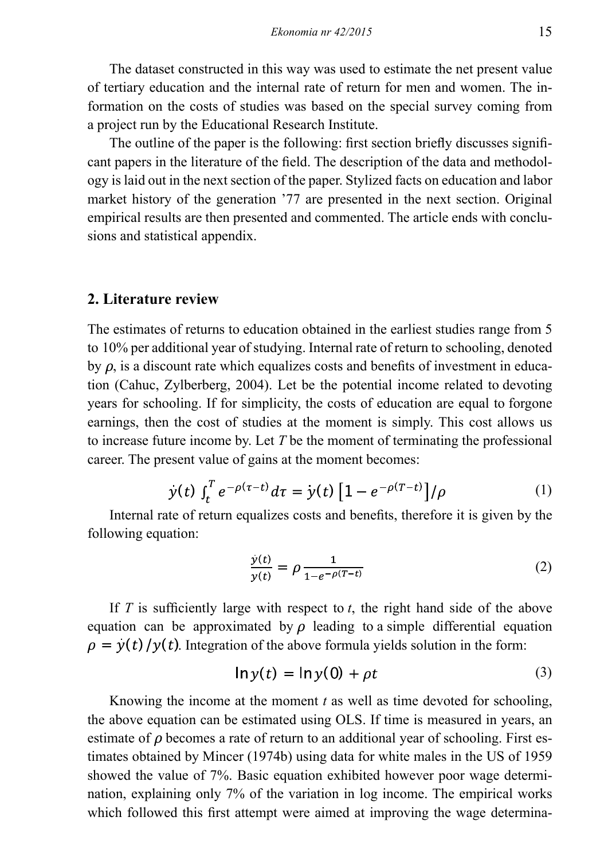The dataset constructed in this way was used to estimate the net present value of tertiary education and the internal rate of return for men and women. The information on the costs of studies was based on the special survey coming from a project run by the Educational Research Institute.

The outline of the paper is the following: first section briefly discusses significant papers in the literature of the field. The description of the data and methodology is laid out in the next section of the paper. Stylized facts on education and labor market history of the generation '77 are presented in the next section. Original empirical results are then presented and commented. The article ends with conclusions and statistical appendix.

#### **2. Literature review**

The estimates of returns to education obtained in the earliest studies range from 5 to 10% per additional year of studying. Internal rate of return to schooling, denoted by  $\rho$ , is a discount rate which equalizes costs and benefits of investment in education (Cahuc, Zylberberg, 2004). Let be the potential income related to devoting years for schooling. If for simplicity, the costs of education are equal to forgone earnings, then the cost of studies at the moment is simply. This cost allows us to increase future income by. Let *T* be the moment of terminating the professional career. The present value of gains at the moment becomes:

$$
y(t) \int_{t}^{T} e^{-\rho(\tau - t)} d\tau = y(t) \left[ 1 - e^{-\rho(T - t)} \right] / \rho \tag{1}
$$

Internal rate of return equalizes costs and benefits, therefore it is given by the following equation:

$$
\frac{\dot{y}(t)}{y(t)} = \rho \frac{1}{1 - e^{-\rho(T - t)}}\tag{2}
$$

If *T* is sufficiently large with respect to *t*, the right hand side of the above equation can be approximated by  $\rho$  leading to a simple differential equation  $\rho = y(t)/y(t)$ . Integration of the above formula yields solution in the form:

$$
\ln y(t) = \ln y(0) + \rho t \tag{3}
$$

Knowing the income at the moment *t* as well as time devoted for schooling, the above equation can be estimated using OLS. If time is measured in years, an estimate of  $\rho$  becomes a rate of return to an additional year of schooling. First estimates obtained by Mincer (1974b) using data for white males in the US of 1959 showed the value of 7%. Basic equation exhibited however poor wage determination, explaining only 7% of the variation in log income. The empirical works which followed this first attempt were aimed at improving the wage determina-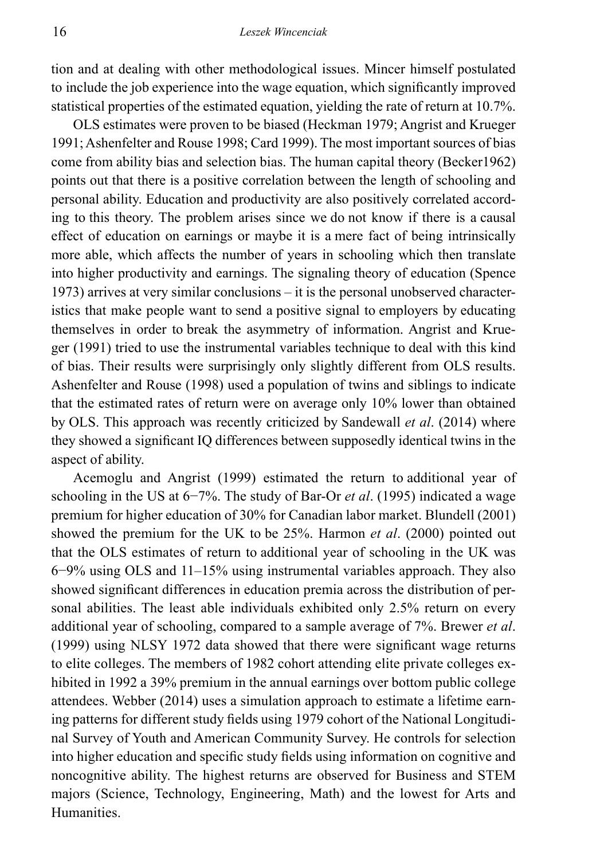tion and at dealing with other methodological issues. Mincer himself postulated to include the job experience into the wage equation, which significantly improved statistical properties of the estimated equation, yielding the rate of return at 10.7%.

OLS estimates were proven to be biased (Heckman 1979; Angrist and Krueger 1991; Ashenfelter and Rouse 1998; Card 1999). The most important sources of bias come from ability bias and selection bias. The human capital theory (Becker1962) points out that there is a positive correlation between the length of schooling and personal ability. Education and productivity are also positively correlated according to this theory. The problem arises since we do not know if there is a causal effect of education on earnings or maybe it is a mere fact of being intrinsically more able, which affects the number of years in schooling which then translate into higher productivity and earnings. The signaling theory of education (Spence 1973) arrives at very similar conclusions – it is the personal unobserved characteristics that make people want to send a positive signal to employers by educating themselves in order to break the asymmetry of information. Angrist and Krueger (1991) tried to use the instrumental variables technique to deal with this kind of bias. Their results were surprisingly only slightly different from OLS results. Ashenfelter and Rouse (1998) used a population of twins and siblings to indicate that the estimated rates of return were on average only 10% lower than obtained by OLS. This approach was recently criticized by Sandewall *et al*. (2014) where they showed a significant IQ differences between supposedly identical twins in the aspect of ability.

Acemoglu and Angrist (1999) estimated the return to additional year of schooling in the US at 6−7%. The study of Bar-Or *et al*. (1995) indicated a wage premium for higher education of 30% for Canadian labor market. Blundell (2001) showed the premium for the UK to be 25%. Harmon *et al*. (2000) pointed out that the OLS estimates of return to additional year of schooling in the UK was 6−9% using OLS and 11‒15% using instrumental variables approach. They also showed significant differences in education premia across the distribution of personal abilities. The least able individuals exhibited only 2.5% return on every additional year of schooling, compared to a sample average of 7%. Brewer *et al*. (1999) using NLSY 1972 data showed that there were significant wage returns to elite colleges. The members of 1982 cohort attending elite private colleges exhibited in 1992 a 39% premium in the annual earnings over bottom public college attendees. Webber (2014) uses a simulation approach to estimate a lifetime earning patterns for different study fields using 1979 cohort of the National Longitudinal Survey of Youth and American Community Survey. He controls for selection into higher education and specific study fields using information on cognitive and noncognitive ability. The highest returns are observed for Business and STEM majors (Science, Technology, Engineering, Math) and the lowest for Arts and Humanities.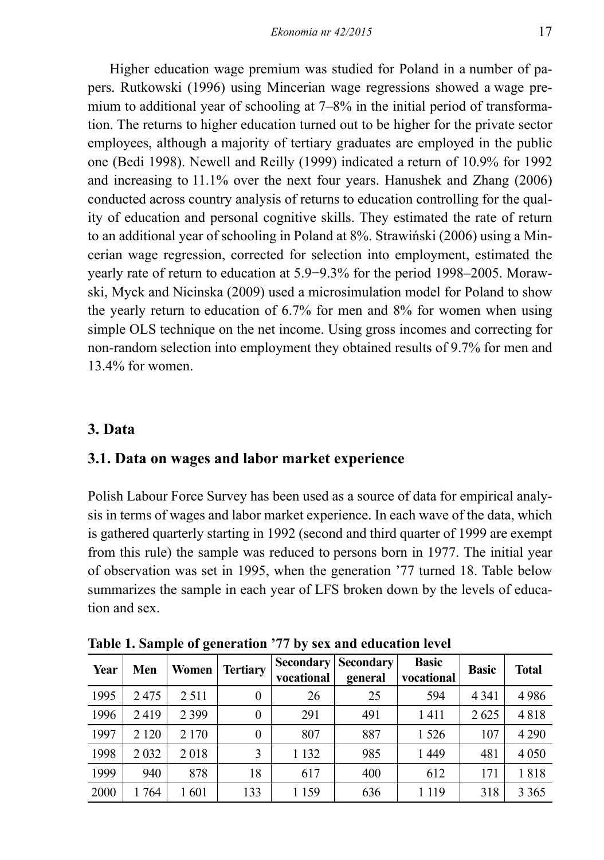Higher education wage premium was studied for Poland in a number of papers. Rutkowski (1996) using Mincerian wage regressions showed a wage premium to additional year of schooling at 7–8% in the initial period of transformation. The returns to higher education turned out to be higher for the private sector employees, although a majority of tertiary graduates are employed in the public one (Bedi 1998). Newell and Reilly (1999) indicated a return of 10.9% for 1992 and increasing to 11.1% over the next four years. Hanushek and Zhang (2006) conducted across country analysis of returns to education controlling for the quality of education and personal cognitive skills. They estimated the rate of return to an additional year of schooling in Poland at 8%. Strawiński (2006) using a Mincerian wage regression, corrected for selection into employment, estimated the yearly rate of return to education at 5.9–9.3% for the period 1998–2005. Morawski, Myck and Nicinska (2009) used a microsimulation model for Poland to show the yearly return to education of 6.7% for men and 8% for women when using simple OLS technique on the net income. Using gross incomes and correcting for non-random selection into employment they obtained results of 9.7% for men and 13.4% for women.

### **3. Data**

### **3.1. Data on wages and labor market experience**

Polish Labour Force Survey has been used as a source of data for empirical analysis in terms of wages and labor market experience. In each wave of the data, which is gathered quarterly starting in 1992 (second and third quarter of 1999 are exempt from this rule) the sample was reduced to persons born in 1977. The initial year of observation was set in 1995, when the generation '77 turned 18. Table below summarizes the sample in each year of LFS broken down by the levels of education and sex.

| Year | Men     | Women!  | <b>Tertiary</b> | Secondary  <br>vocational | <b>Secondary</b><br>general | <b>Basic</b><br>vocational | <b>Basic</b> | Total   |
|------|---------|---------|-----------------|---------------------------|-----------------------------|----------------------------|--------------|---------|
| 1995 | 2475    | 2 5 1 1 | $\theta$        | 26                        | 25                          | 594                        | 4 3 4 1      | 4986    |
| 1996 | 2419    | 2 3 9 9 | $\theta$        | 291                       | 491                         | 1411                       | 2625         | 4818    |
| 1997 | 2 1 2 0 | 2 170   | $\theta$        | 807                       | 887                         | 1 5 2 6                    | 107          | 4 2 9 0 |
| 1998 | 2032    | 2018    | 3               | 1 1 3 2                   | 985                         | 1449                       | 481          | 4 0 5 0 |
| 1999 | 940     | 878     | 18              | 617                       | 400                         | 612                        | 171          | 1818    |
| 2000 | 1764    | 1601    | 133             | 1 1 5 9                   | 636                         | 1 1 1 9                    | 318          | 3 3 6 5 |

**Table 1. Sample of generation '77 by sex and education level**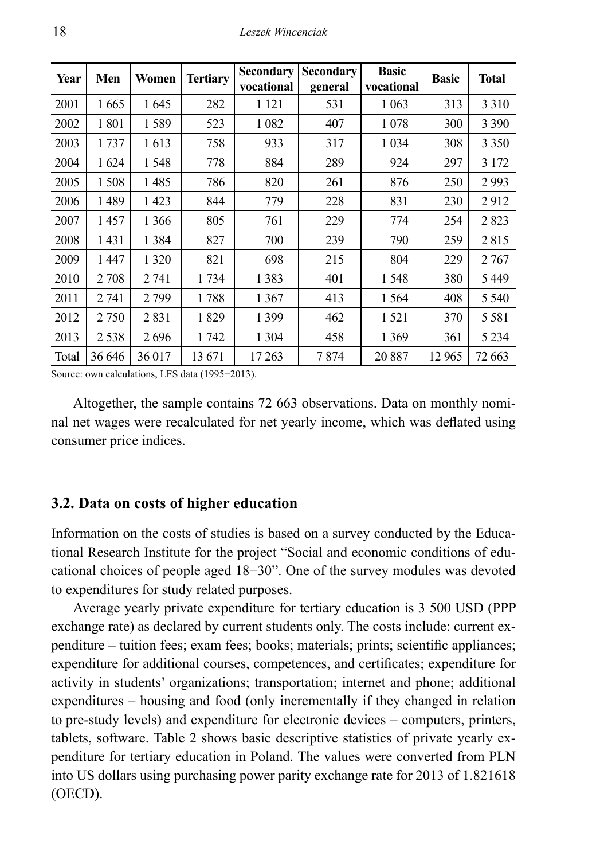| Year  | Men     | Women   | <b>Tertiary</b> | Secondary<br>vocational | Secondary<br>general | <b>Basic</b><br>vocational | <b>Basic</b> | <b>Total</b> |
|-------|---------|---------|-----------------|-------------------------|----------------------|----------------------------|--------------|--------------|
| 2001  | 1665    | 1645    | 282             | 1 1 2 1                 | 531                  | 1 0 63                     | 313          | 3 3 1 0      |
| 2002  | 1801    | 1589    | 523             | 1 0 8 2                 | 407                  | 1078                       | 300          | 3 3 9 0      |
| 2003  | 1 7 3 7 | 1613    | 758             | 933                     | 317                  | 1 0 3 4                    | 308          | 3 3 5 0      |
| 2004  | 1624    | 1548    | 778             | 884                     | 289                  | 924                        | 297          | 3 1 7 2      |
| 2005  | 1508    | 1485    | 786             | 820                     | 261                  | 876                        | 250          | 2993         |
| 2006  | 1489    | 1423    | 844             | 779                     | 228                  | 831                        | 230          | 2912         |
| 2007  | 1457    | 1 366   | 805             | 761                     | 229                  | 774                        | 254          | 2823         |
| 2008  | 1431    | 1 3 8 4 | 827             | 700                     | 239                  | 790                        | 259          | 2815         |
| 2009  | 1447    | 1 3 2 0 | 821             | 698                     | 215                  | 804                        | 229          | 2 7 6 7      |
| 2010  | 2 7 0 8 | 2 741   | 1734            | 1 3 8 3                 | 401                  | 1548                       | 380          | 5449         |
| 2011  | 2 741   | 2 7 9 9 | 1788            | 1 3 6 7                 | 413                  | 1 5 6 4                    | 408          | 5 5 4 0      |
| 2012  | 2750    | 2831    | 1829            | 1 3 9 9                 | 462                  | 1 5 2 1                    | 370          | 5581         |
| 2013  | 2538    | 2696    | 1742            | 1 3 0 4                 | 458                  | 1 3 6 9                    | 361          | 5 2 3 4      |
| Total | 36 646  | 36 017  | 13 671          | 17 263                  | 7 874                | 20887                      | 12 965       | 72 663       |

Source: own calculations, LFS data (1995−2013).

Altogether, the sample contains 72 663 observations. Data on monthly nominal net wages were recalculated for net yearly income, which was deflated using consumer price indices.

### **3.2. Data on costs of higher education**

Information on the costs of studies is based on a survey conducted by the Educational Research Institute for the project "Social and economic conditions of educational choices of people aged 18−30". One of the survey modules was devoted to expenditures for study related purposes.

Average yearly private expenditure for tertiary education is 3 500 USD (PPP exchange rate) as declared by current students only. The costs include: current expenditure – tuition fees; exam fees; books; materials; prints; scientific appliances; expenditure for additional courses, competences, and certificates; expenditure for activity in students' organizations; transportation; internet and phone; additional expenditures – housing and food (only incrementally if they changed in relation to pre-study levels) and expenditure for electronic devices – computers, printers, tablets, software. Table 2 shows basic descriptive statistics of private yearly expenditure for tertiary education in Poland. The values were converted from PLN into US dollars using purchasing power parity exchange rate for 2013 of 1.821618 (OECD).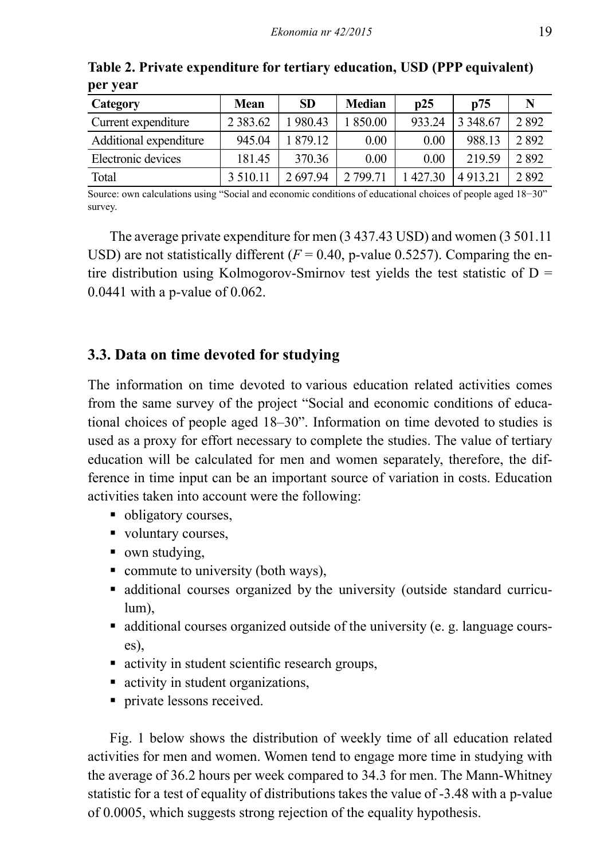| Category               | Mean          | <b>SD</b> | <b>Median</b> | p25    | p75         | N    |
|------------------------|---------------|-----------|---------------|--------|-------------|------|
| Current expenditure    | 2 3 8 3 . 6 2 | 980.43    | 850.00        | 933.24 | 3 3 4 8 6 7 | 2892 |
| Additional expenditure | 945.04        | 879 12    | 0.00          | 0.00   | 988.13      | 2892 |
| Electronic devices     | 181.45        | 370.36    | 0.00          | 0.00   | 219.59      | 2892 |
| Total                  | 3 5 10 11     | 269794    | 2 799 71      | 427.30 | 4913.21     | 2892 |

**Table 2. Private expenditure for tertiary education, USD (PPP equivalent) per year**

Source: own calculations using "Social and economic conditions of educational choices of people aged 18−30" survey.

The average private expenditure for men (3 437.43 USD) and women (3 501.11 USD) are not statistically different  $(F = 0.40, p-value 0.5257)$ . Comparing the entire distribution using Kolmogorov-Smirnov test yields the test statistic of  $D =$ 0.0441 with a p-value of 0.062.

### **3.3. Data on time devoted for studying**

The information on time devoted to various education related activities comes from the same survey of the project "Social and economic conditions of educational choices of people aged 18‒30". Information on time devoted to studies is used as a proxy for effort necessary to complete the studies. The value of tertiary education will be calculated for men and women separately, therefore, the difference in time input can be an important source of variation in costs. Education activities taken into account were the following:

- obligatory courses,
- voluntary courses,
- own studying,
- $\blacksquare$  commute to university (both ways),
- additional courses organized by the university (outside standard curriculum),
- additional courses organized outside of the university (e. g. language courses),
- activity in student scientific research groups,
- activity in student organizations,
- **private lessons received.**

Fig. 1 below shows the distribution of weekly time of all education related activities for men and women. Women tend to engage more time in studying with the average of 36.2 hours per week compared to 34.3 for men. The Mann-Whitney statistic for a test of equality of distributions takes the value of -3.48 with a p-value of 0.0005, which suggests strong rejection of the equality hypothesis.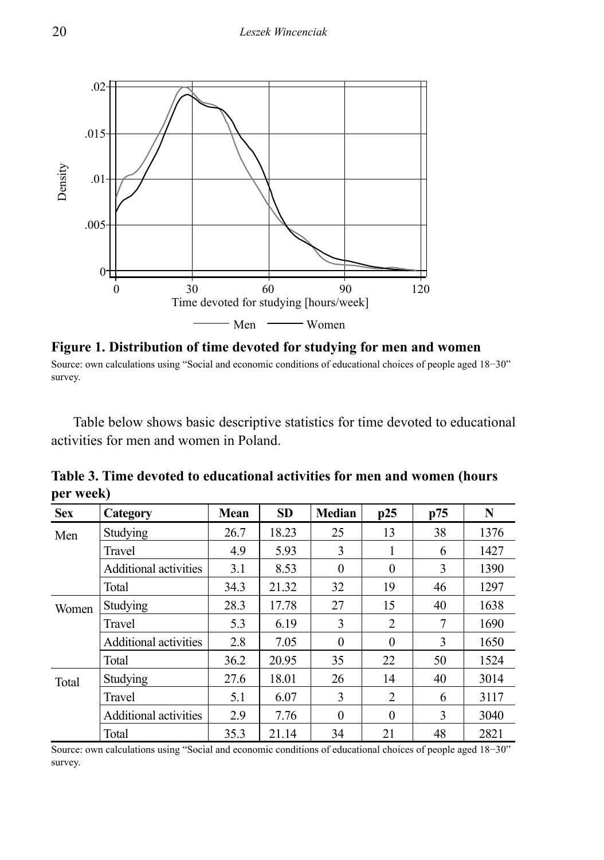

**Figure 1. Distribution of time devoted for studying for men and women** Source: own calculations using "Social and economic conditions of educational choices of people aged 18−30" survey.

Table below shows basic descriptive statistics for time devoted to educational activities for men and women in Poland.

| ┻.<br><b>Sex</b> | Category                     | Mean | <b>SD</b> | <b>Median</b> | p25      | p75 | N    |
|------------------|------------------------------|------|-----------|---------------|----------|-----|------|
| Men              | Studying                     | 26.7 | 18.23     | 25            | 13       | 38  | 1376 |
|                  | Travel                       | 4.9  | 5.93      | 3             |          | 6   | 1427 |
|                  | <b>Additional activities</b> | 3.1  | 8.53      | $\theta$      | $\theta$ | 3   | 1390 |
|                  | Total                        | 34.3 | 21.32     | 32            | 19       | 46  | 1297 |
| Women            | Studying                     | 28.3 | 17.78     | 27            | 15       | 40  | 1638 |
|                  | Travel                       | 5.3  | 6.19      | 3             | 2        | 7   | 1690 |
|                  | <b>Additional activities</b> | 2.8  | 7.05      | $\Omega$      | $\Omega$ | 3   | 1650 |
|                  | Total                        | 36.2 | 20.95     | 35            | 22       | 50  | 1524 |
| Total            | Studying                     | 27.6 | 18.01     | 26            | 14       | 40  | 3014 |
|                  | Travel                       | 5.1  | 6.07      | 3             | 2        | 6   | 3117 |
|                  | Additional activities        | 2.9  | 7.76      | $\theta$      | $\theta$ | 3   | 3040 |
|                  | Total                        | 35.3 | 21.14     | 34            | 21       | 48  | 2821 |

**Table 3. Time devoted to educational activities for men and women (hours per week)**

Source: own calculations using "Social and economic conditions of educational choices of people aged 18–30" survey.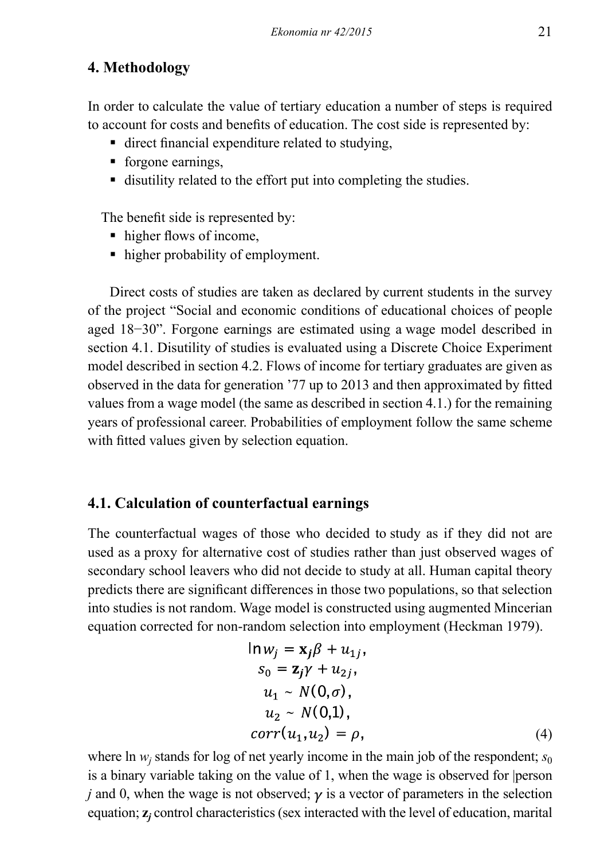# **4. Methodology**

In order to calculate the value of tertiary education a number of steps is required to account for costs and benefits of education. The cost side is represented by:

- direct financial expenditure related to studying,
- **forgone earnings,**
- disutility related to the effort put into completing the studies.

The benefit side is represented by:

- higher flows of income,
- higher probability of employment.

Direct costs of studies are taken as declared by current students in the survey of the project "Social and economic conditions of educational choices of people aged 18−30". Forgone earnings are estimated using a wage model described in section 4.1. Disutility of studies is evaluated using a Discrete Choice Experiment model described in section 4.2. Flows of income for tertiary graduates are given as observed in the data for generation '77 up to 2013 and then approximated by fitted values from a wage model (the same as described in section 4.1.) for the remaining years of professional career. Probabilities of employment follow the same scheme with fitted values given by selection equation.

### **4.1. Calculation of counterfactual earnings**

The counterfactual wages of those who decided to study as if they did not are used as a proxy for alternative cost of studies rather than just observed wages of secondary school leavers who did not decide to study at all. Human capital theory predicts there are significant differences in those two populations, so that selection into studies is not random. Wage model is constructed using augmented Mincerian equation corrected for non-random selection into employment (Heckman 1979).

$$
\ln w_j = \mathbf{x}_j \beta + u_{1j},
$$
  
\n
$$
s_0 = \mathbf{z}_j \gamma + u_{2j},
$$
  
\n
$$
u_1 \sim N(0, \sigma),
$$
  
\n
$$
u_2 \sim N(0,1),
$$
  
\n
$$
corr(u_1, u_2) = \rho,
$$
  
\n(4)

where  $\ln w_j$  stands for log of net yearly income in the main job of the respondent;  $s_0$ is a binary variable taking on the value of 1, when the wage is observed for |person *j* and 0, when the wage is not observed;  $\gamma$  is a vector of parameters in the selection equation; **z***<sup>j</sup>* control characteristics (sex interacted with the level of education, marital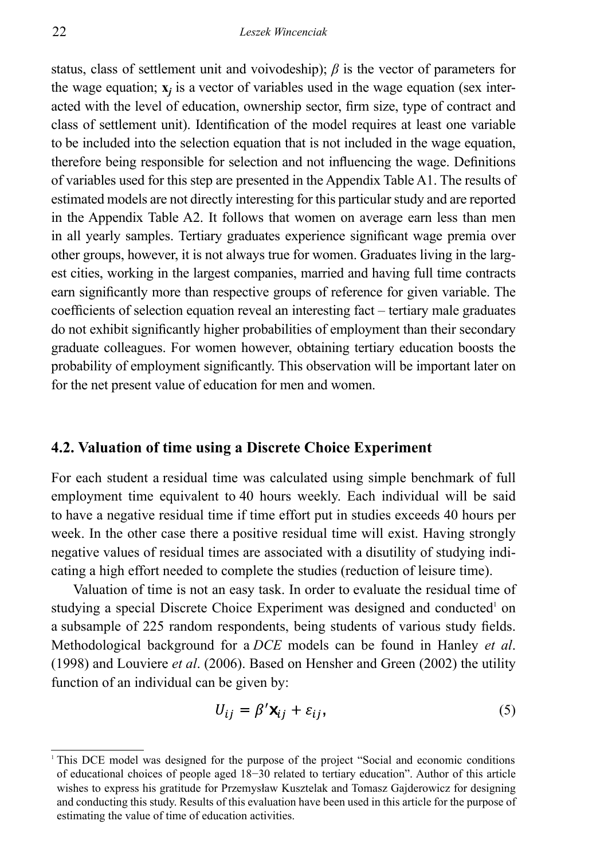status, class of settlement unit and voivodeship); *β* is the vector of parameters for the wage equation;  $\mathbf{x}_i$  is a vector of variables used in the wage equation (sex interacted with the level of education, ownership sector, firm size, type of contract and class of settlement unit). Identification of the model requires at least one variable to be included into the selection equation that is not included in the wage equation, therefore being responsible for selection and not influencing the wage. Definitions of variables used for this step are presented in the Appendix Table A1. The results of estimated models are not directly interesting for this particular study and are reported in the Appendix Table A2. It follows that women on average earn less than men in all yearly samples. Tertiary graduates experience significant wage premia over other groups, however, it is not always true for women. Graduates living in the largest cities, working in the largest companies, married and having full time contracts earn significantly more than respective groups of reference for given variable. The coefficients of selection equation reveal an interesting fact – tertiary male graduates do not exhibit significantly higher probabilities of employment than their secondary graduate colleagues. For women however, obtaining tertiary education boosts the probability of employment significantly. This observation will be important later on for the net present value of education for men and women.

### **4.2. Valuation of time using a Discrete Choice Experiment**

For each student a residual time was calculated using simple benchmark of full employment time equivalent to 40 hours weekly. Each individual will be said to have a negative residual time if time effort put in studies exceeds 40 hours per week. In the other case there a positive residual time will exist. Having strongly negative values of residual times are associated with a disutility of studying indicating a high effort needed to complete the studies (reduction of leisure time).

Valuation of time is not an easy task. In order to evaluate the residual time of studying a special Discrete Choice Experiment was designed and conducted<sup>1</sup> on a subsample of 225 random respondents, being students of various study fields. Methodological background for a *DCE* models can be found in Hanley *et al*. (1998) and Louviere *et al*. (2006). Based on Hensher and Green (2002) the utility function of an individual can be given by:

$$
U_{ij} = \beta' \mathbf{X}_{ij} + \varepsilon_{ij},\tag{5}
$$

<sup>1</sup> This DCE model was designed for the purpose of the project "Social and economic conditions of educational choices of people aged 18−30 related to tertiary education". Author of this article wishes to express his gratitude for Przemysław Kusztelak and Tomasz Gajderowicz for designing and conducting this study. Results of this evaluation have been used in this article for the purpose of estimating the value of time of education activities.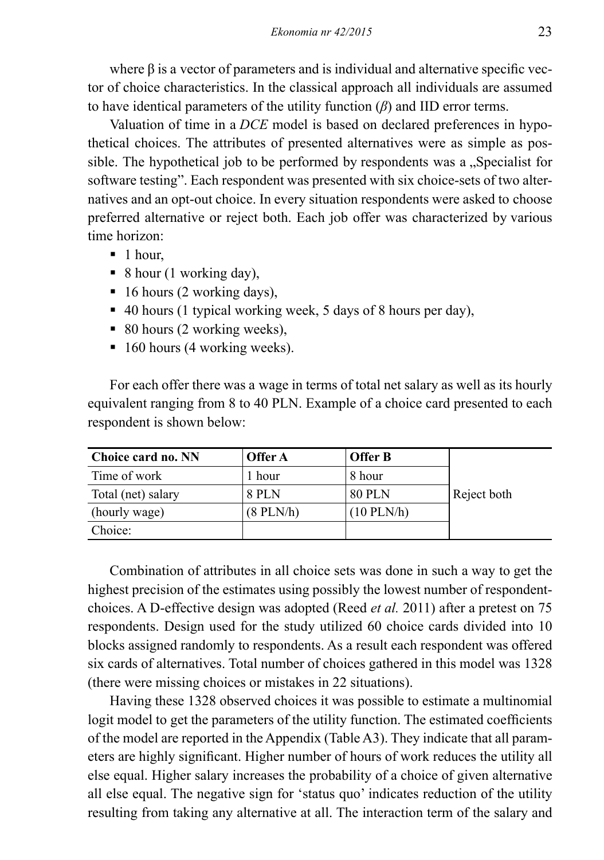where β is a vector of parameters and is individual and alternative specific vector of choice characteristics. In the classical approach all individuals are assumed to have identical parameters of the utility function (*β*) and IID error terms.

Valuation of time in a *DCE* model is based on declared preferences in hypothetical choices. The attributes of presented alternatives were as simple as possible. The hypothetical job to be performed by respondents was a "Specialist for software testing". Each respondent was presented with six choice-sets of two alternatives and an opt-out choice. In every situation respondents were asked to choose preferred alternative or reject both. Each job offer was characterized by various time horizon:

- $\blacksquare$  1 hour.
- $\bullet$  8 hour (1 working day),
- 16 hours (2 working days),
- 40 hours (1 typical working week, 5 days of 8 hours per day),
- 80 hours (2 working weeks),
- $\blacksquare$  160 hours (4 working weeks).

For each offer there was a wage in terms of total net salary as well as its hourly equivalent ranging from 8 to 40 PLN. Example of a choice card presented to each respondent is shown below:

| Choice card no. NN | Offer A      | <b>Offer B</b> |             |
|--------------------|--------------|----------------|-------------|
| Time of work       | 1 hour       | 8 hour         |             |
| Total (net) salary | <b>8 PLN</b> | <b>80 PLN</b>  | Reject both |
| (hourly wage)      | $(8$ PLN/h)  | $(10$ PLN/h)   |             |
| Choice:            |              |                |             |

Combination of attributes in all choice sets was done in such a way to get the highest precision of the estimates using possibly the lowest number of respondentchoices. A D-effective design was adopted (Reed *et al.* 2011) after a pretest on 75 respondents. Design used for the study utilized 60 choice cards divided into 10 blocks assigned randomly to respondents. As a result each respondent was offered six cards of alternatives. Total number of choices gathered in this model was 1328 (there were missing choices or mistakes in 22 situations).

Having these 1328 observed choices it was possible to estimate a multinomial logit model to get the parameters of the utility function. The estimated coefficients of the model are reported in the Appendix (Table A3). They indicate that all parameters are highly significant. Higher number of hours of work reduces the utility all else equal. Higher salary increases the probability of a choice of given alternative all else equal. The negative sign for 'status quo' indicates reduction of the utility resulting from taking any alternative at all. The interaction term of the salary and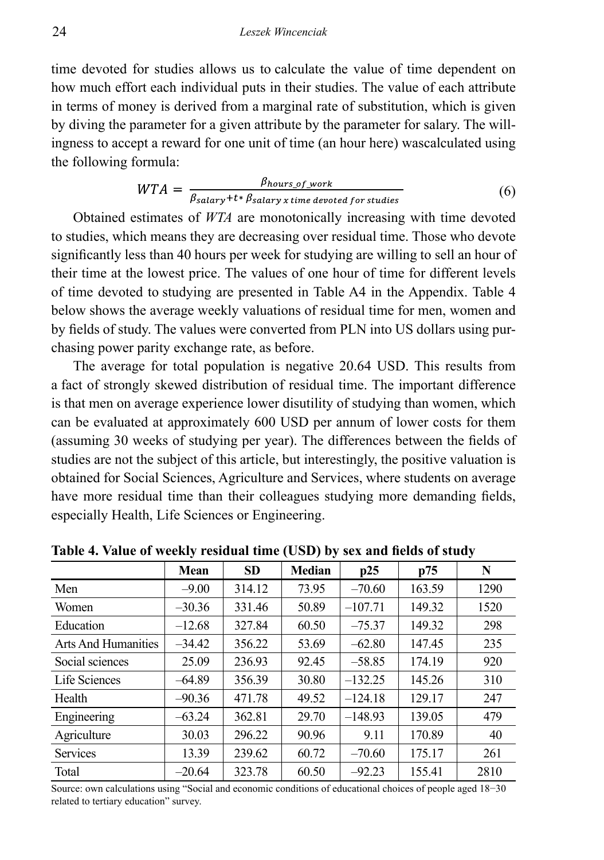time devoted for studies allows us to calculate the value of time dependent on how much effort each individual puts in their studies. The value of each attribute in terms of money is derived from a marginal rate of substitution, which is given by diving the parameter for a given attribute by the parameter for salary. The willingness to accept a reward for one unit of time (an hour here) wascalculated using the following formula:

$$
WTA = \frac{\beta_{hours\_of\_work}}{\beta_{salary} + t * \beta_{salary \times time \, devoted \, for \, studies}} \tag{6}
$$

Obtained estimates of *WTA* are monotonically increasing with time devoted to studies, which means they are decreasing over residual time. Those who devote significantly less than 40 hours per week for studying are willing to sell an hour of their time at the lowest price. The values of one hour of time for different levels of time devoted to studying are presented in Table A4 in the Appendix. Table 4 below shows the average weekly valuations of residual time for men, women and by fields of study. The values were converted from PLN into US dollars using purchasing power parity exchange rate, as before.

The average for total population is negative 20.64 USD. This results from a fact of strongly skewed distribution of residual time. The important difference is that men on average experience lower disutility of studying than women, which can be evaluated at approximately 600 USD per annum of lower costs for them (assuming 30 weeks of studying per year). The differences between the fields of studies are not the subject of this article, but interestingly, the positive valuation is obtained for Social Sciences, Agriculture and Services, where students on average have more residual time than their colleagues studying more demanding fields, especially Health, Life Sciences or Engineering.

|                            | Mean     | <b>SD</b> | <b>Median</b> | p25       | p75    | N    |
|----------------------------|----------|-----------|---------------|-----------|--------|------|
| Men                        | $-9.00$  | 314.12    | 73.95         | $-70.60$  | 163.59 | 1290 |
| Women                      | $-30.36$ | 331.46    | 50.89         | $-107.71$ | 149.32 | 1520 |
| Education                  | $-12.68$ | 327.84    | 60.50         | $-75.37$  | 149.32 | 298  |
| <b>Arts And Humanities</b> | $-34.42$ | 356.22    | 53.69         | $-62.80$  | 147.45 | 235  |
| Social sciences            | 25.09    | 236.93    | 92.45         | $-58.85$  | 174.19 | 920  |
| Life Sciences              | $-64.89$ | 356.39    | 30.80         | $-132.25$ | 145.26 | 310  |
| Health                     | $-90.36$ | 471.78    | 49.52         | $-124.18$ | 129.17 | 247  |
| Engineering                | $-63.24$ | 362.81    | 29.70         | $-148.93$ | 139.05 | 479  |
| Agriculture                | 30.03    | 296.22    | 90.96         | 9.11      | 170.89 | 40   |
| Services                   | 13.39    | 239.62    | 60.72         | $-70.60$  | 175.17 | 261  |
| Total                      | $-20.64$ | 323.78    | 60.50         | $-92.23$  | 155.41 | 2810 |

**Table 4. Value of weekly residual time (USD) by sex and fields of study**

Source: own calculations using "Social and economic conditions of educational choices of people aged 18−30 related to tertiary education" survey.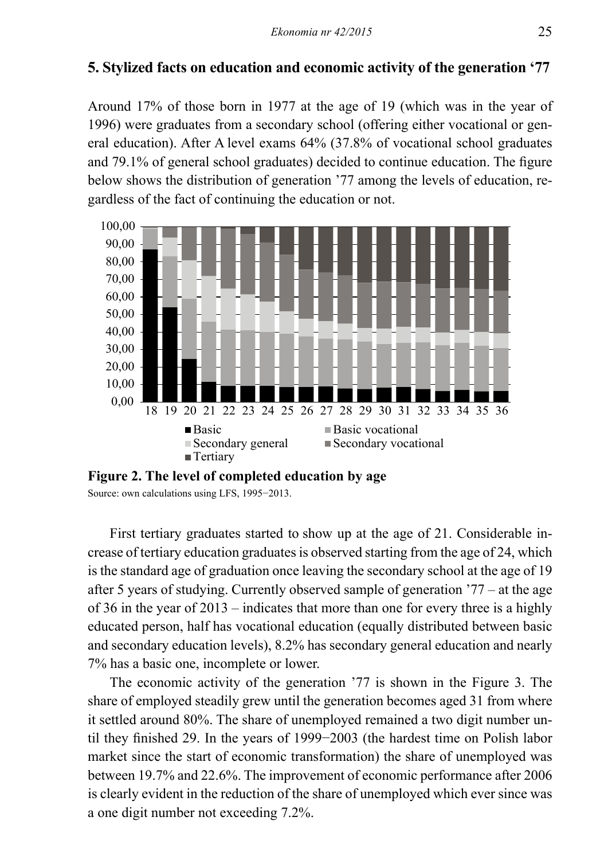# **5. Stylized facts on education and economic activity of the generation '77**

Around 17% of those born in 1977 at the age of 19 (which was in the year of 1996) were graduates from a secondary school (offering either vocational or general education). After A level exams 64% (37.8% of vocational school graduates and 79.1% of general school graduates) decided to continue education. The figure below shows the distribution of generation '77 among the levels of education, regardless of the fact of continuing the education or not.



**Figure 2. The level of completed education by age**

Source: own calculations using LFS, 1995−2013.

First tertiary graduates started to show up at the age of 21. Considerable increase of tertiary education graduates is observed starting from the age of 24, which is the standard age of graduation once leaving the secondary school at the age of 19 after 5 years of studying. Currently observed sample of generation '77 – at the age of 36 in the year of 2013 – indicates that more than one for every three is a highly educated person, half has vocational education (equally distributed between basic and secondary education levels), 8.2% has secondary general education and nearly 7% has a basic one, incomplete or lower.

The economic activity of the generation '77 is shown in the Figure 3. The share of employed steadily grew until the generation becomes aged 31 from where it settled around 80%. The share of unemployed remained a two digit number until they finished 29. In the years of 1999−2003 (the hardest time on Polish labor market since the start of economic transformation) the share of unemployed was between 19.7% and 22.6%. The improvement of economic performance after 2006 is clearly evident in the reduction of the share of unemployed which ever since was a one digit number not exceeding 7.2%.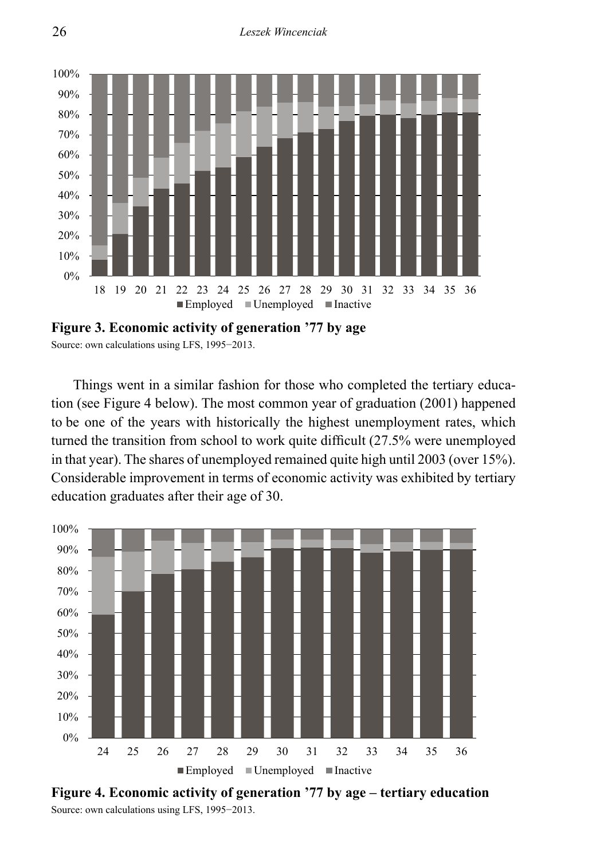

**Figure 3. Economic activity of generation '77 by age** Source: own calculations using LFS, 1995−2013.

Things went in a similar fashion for those who completed the tertiary education (see Figure 4 below). The most common year of graduation (2001) happened to be one of the years with historically the highest unemployment rates, which turned the transition from school to work quite difficult (27.5% were unemployed in that year). The shares of unemployed remained quite high until 2003 (over 15%). Considerable improvement in terms of economic activity was exhibited by tertiary education graduates after their age of 30.



Source: own calculations using LFS, 1995−2013. 30% **Figure 4. Economic activity of generation '77 by age – tertiary education**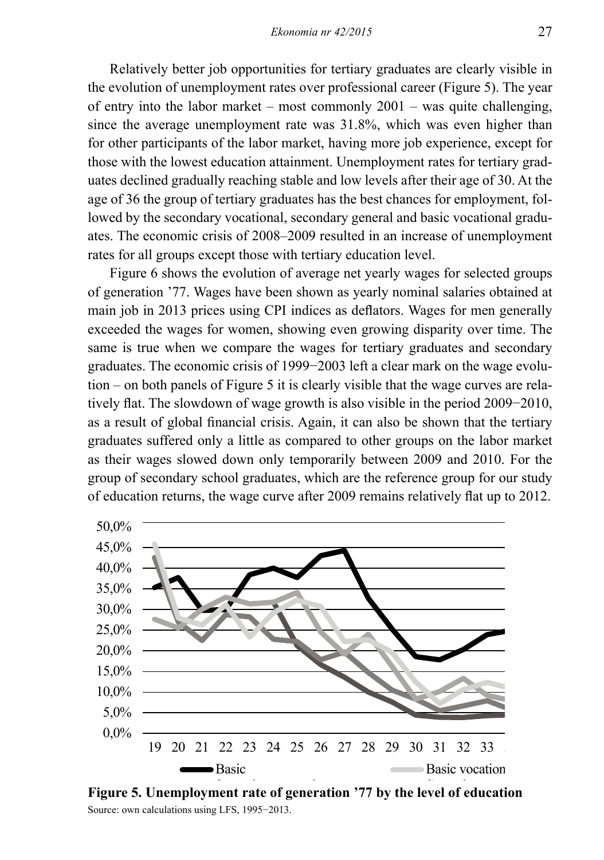Relatively better job opportunities for tertiary graduates are clearly visible in the evolution of unemployment rates over professional career (Figure 5). The year of entry into the labor market – most commonly  $2001$  – was quite challenging, since the average unemployment rate was 31.8%, which was even higher than for other participants of the labor market, having more job experience, except for those with the lowest education attainment. Unemployment rates for tertiary graduates declined gradually reaching stable and low levels after their age of 30. At the age of 36 the group of tertiary graduates has the best chances for employment, followed by the secondary vocational, secondary general and basic vocational graduates. The economic crisis of 2008–2009 resulted in an increase of unemployment rates for all groups except those with tertiary education level.

Figure 6 shows the evolution of average net yearly wages for selected groups of generation '77. Wages have been shown as yearly nominal salaries obtained at main job in 2013 prices using CPI indices as deflators. Wages for men generally exceeded the wages for women, showing even growing disparity over time. The same is true when we compare the wages for tertiary graduates and secondary graduates. The economic crisis of 1999−2003 left a clear mark on the wage evolution – on both panels of Figure 5 it is clearly visible that the wage curves are relatively flat. The slowdown of wage growth is also visible in the period 2009−2010, as a result of global financial crisis. Again, it can also be shown that the tertiary graduates suffered only a little as compared to other groups on the labor market as their wages slowed down only temporarily between 2009 and 2010. For the group of secondary school graduates, which are the reference group for our study of education returns, the wage curve after 2009 remains relatively flat up to 2012.



Figure 5. Unemployment rate of generation **'77 by the level of education** There is the official term of the state of the Source: own calculations using LFS, 1995−2013.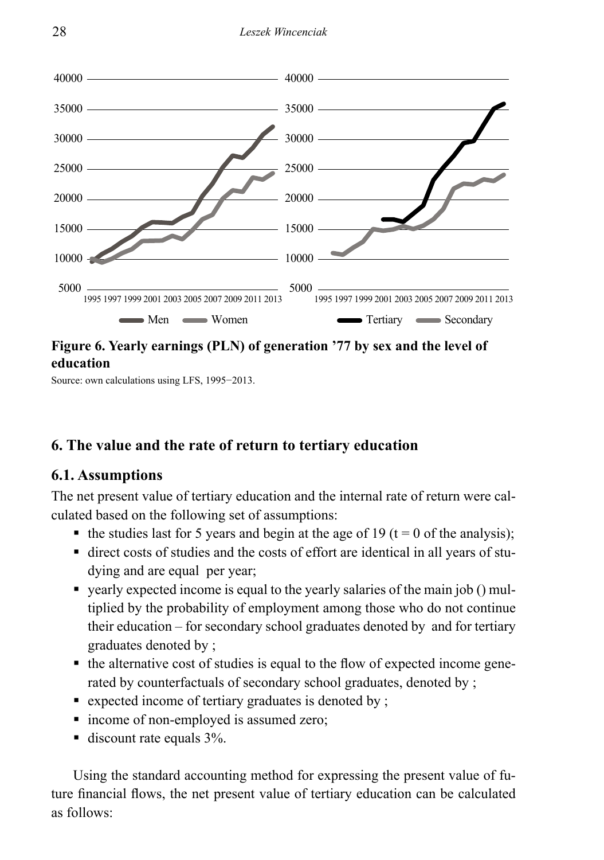

# **Figure 6. Yearly earnings (PLN) of generation '77 by sex and the level of education**

Source: own calculations using LFS, 1995−2013.

# **6. The value and the rate of return to tertiary education**

# **6.1. Assumptions**

The net present value of tertiary education and the internal rate of return were calculated based on the following set of assumptions:

- the studies last for 5 years and begin at the age of 19 (t = 0 of the analysis);
- direct costs of studies and the costs of effort are identical in all years of studying and are equal per year;
- yearly expected income is equal to the yearly salaries of the main job () multiplied by the probability of employment among those who do not continue their education – for secondary school graduates denoted by and for tertiary graduates denoted by ;
- the alternative cost of studies is equal to the flow of expected income generated by counterfactuals of secondary school graduates, denoted by ;
- $\bullet$  expected income of tertiary graduates is denoted by;
- income of non-employed is assumed zero;
- $\blacksquare$  discount rate equals 3%.

Using the standard accounting method for expressing the present value of future financial flows, the net present value of tertiary education can be calculated as follows: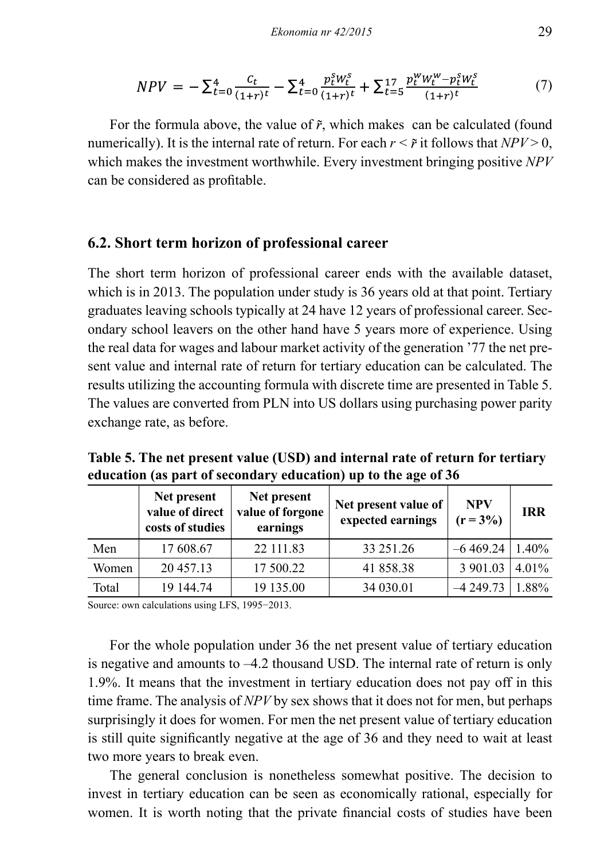$$
NPV = -\sum_{t=0}^{4} \frac{c_t}{(1+r)t} - \sum_{t=0}^{4} \frac{p_t^S W_t^S}{(1+r)t} + \sum_{t=5}^{17} \frac{p_t^W W_t^W - p_t^S W_t^S}{(1+r)t}
$$
(7)

For the formula above, the value of  $\tilde{r}$ , which makes can be calculated (found numerically). It is the internal rate of return. For each  $r < \tilde{r}$  it follows that  $NPV > 0$ , which makes the investment worthwhile. Every investment bringing positive *NPV*  can be considered as profitable.

#### **6.2. Short term horizon of professional career**

The short term horizon of professional career ends with the available dataset, which is in 2013. The population under study is 36 years old at that point. Tertiary graduates leaving schools typically at 24 have 12 years of professional career. Secondary school leavers on the other hand have 5 years more of experience. Using the real data for wages and labour market activity of the generation '77 the net present value and internal rate of return for tertiary education can be calculated. The results utilizing the accounting formula with discrete time are presented in Table 5. The values are converted from PLN into US dollars using purchasing power parity exchange rate, as before.

**Table 5. The net present value (USD) and internal rate of return for tertiary education (as part of secondary education) up to the age of 36**

|       | Net present<br>value of direct<br>costs of studies | Net present<br>value of forgone<br>earnings | Net present value of<br>expected earnings | <b>NPV</b><br>$(r = 3\%)$ | <b>IRR</b> |
|-------|----------------------------------------------------|---------------------------------------------|-------------------------------------------|---------------------------|------------|
| Men   | 17 608.67                                          | 22 111.83                                   | 33 25 1.26                                | $-6469.24$                | $1.40\%$   |
| Women | 20457.13                                           | 17 500.22                                   | 41 858.38                                 | 3 901.03                  | $4.01\%$   |
| Total | 19 144.74                                          | 19 135.00                                   | 34 030.01                                 | $-4249.73$                | 1.88%      |

Source: own calculations using LFS, 1995−2013.

For the whole population under 36 the net present value of tertiary education is negative and amounts to  $-4.2$  thousand USD. The internal rate of return is only 1.9%. It means that the investment in tertiary education does not pay off in this time frame. The analysis of *NPV* by sex shows that it does not for men, but perhaps surprisingly it does for women. For men the net present value of tertiary education is still quite significantly negative at the age of 36 and they need to wait at least two more years to break even.

The general conclusion is nonetheless somewhat positive. The decision to invest in tertiary education can be seen as economically rational, especially for women. It is worth noting that the private financial costs of studies have been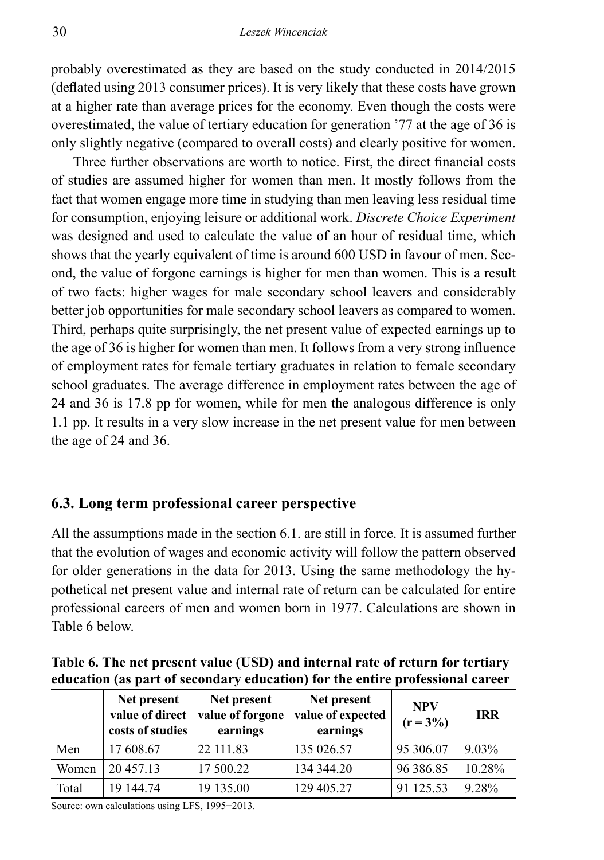probably overestimated as they are based on the study conducted in 2014/2015 (deflated using 2013 consumer prices). It is very likely that these costs have grown at a higher rate than average prices for the economy. Even though the costs were overestimated, the value of tertiary education for generation '77 at the age of 36 is only slightly negative (compared to overall costs) and clearly positive for women.

Three further observations are worth to notice. First, the direct financial costs of studies are assumed higher for women than men. It mostly follows from the fact that women engage more time in studying than men leaving less residual time for consumption, enjoying leisure or additional work. *Discrete Choice Experiment* was designed and used to calculate the value of an hour of residual time, which shows that the yearly equivalent of time is around 600 USD in favour of men. Second, the value of forgone earnings is higher for men than women. This is a result of two facts: higher wages for male secondary school leavers and considerably better job opportunities for male secondary school leavers as compared to women. Third, perhaps quite surprisingly, the net present value of expected earnings up to the age of 36 is higher for women than men. It follows from a very strong influence of employment rates for female tertiary graduates in relation to female secondary school graduates. The average difference in employment rates between the age of 24 and 36 is 17.8 pp for women, while for men the analogous difference is only 1.1 pp. It results in a very slow increase in the net present value for men between the age of 24 and 36.

# **6.3. Long term professional career perspective**

All the assumptions made in the section 6.1. are still in force. It is assumed further that the evolution of wages and economic activity will follow the pattern observed for older generations in the data for 2013. Using the same methodology the hypothetical net present value and internal rate of return can be calculated for entire professional careers of men and women born in 1977. Calculations are shown in Table 6 below.

| Table 6. The net present value (USD) and internal rate of return for tertiary |  |
|-------------------------------------------------------------------------------|--|
| education (as part of secondary education) for the entire professional career |  |

|       | Net present<br>value of direct<br>costs of studies | Net present<br>value of forgone<br>earnings | Net present<br>value of expected<br>earnings | <b>NPV</b><br>$(r = 3\%)$ | <b>IRR</b> |
|-------|----------------------------------------------------|---------------------------------------------|----------------------------------------------|---------------------------|------------|
| Men   | 17 608.67                                          | 22 111.83                                   | 135 026.57                                   | 95 306.07                 | $9.03\%$   |
| Women | 20457.13                                           | 17 500.22                                   | 134 344.20                                   | 96 386.85                 | 10.28%     |
| Total | 19 144.74                                          | 19 135.00                                   | 129 405.27                                   | 91 125.53                 | 9.28%      |

Source: own calculations using LFS, 1995−2013.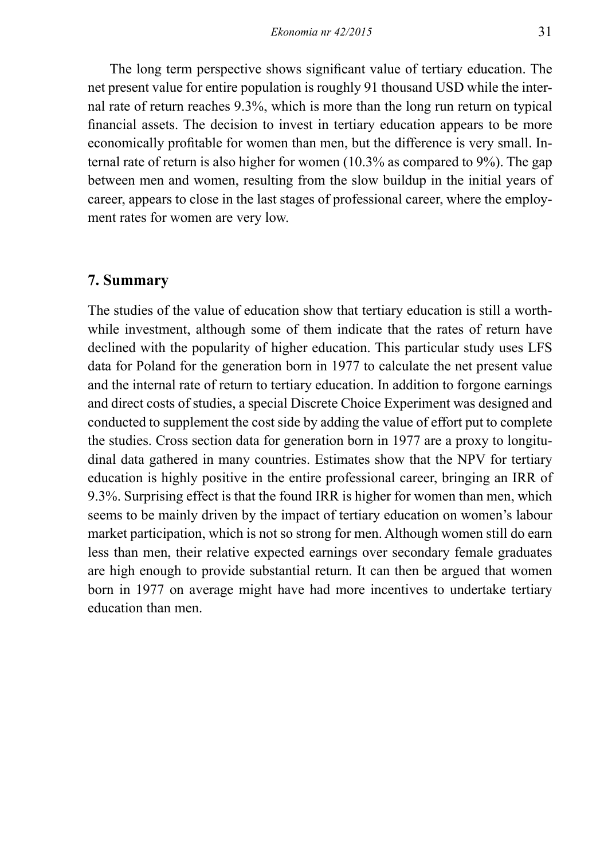The long term perspective shows significant value of tertiary education. The net present value for entire population is roughly 91 thousand USD while the internal rate of return reaches 9.3%, which is more than the long run return on typical financial assets. The decision to invest in tertiary education appears to be more economically profitable for women than men, but the difference is very small. Internal rate of return is also higher for women (10.3% as compared to 9%). The gap between men and women, resulting from the slow buildup in the initial years of career, appears to close in the last stages of professional career, where the employment rates for women are very low.

### **7. Summary**

The studies of the value of education show that tertiary education is still a worthwhile investment, although some of them indicate that the rates of return have declined with the popularity of higher education. This particular study uses LFS data for Poland for the generation born in 1977 to calculate the net present value and the internal rate of return to tertiary education. In addition to forgone earnings and direct costs of studies, a special Discrete Choice Experiment was designed and conducted to supplement the cost side by adding the value of effort put to complete the studies. Cross section data for generation born in 1977 are a proxy to longitudinal data gathered in many countries. Estimates show that the NPV for tertiary education is highly positive in the entire professional career, bringing an IRR of 9.3%. Surprising effect is that the found IRR is higher for women than men, which seems to be mainly driven by the impact of tertiary education on women's labour market participation, which is not so strong for men. Although women still do earn less than men, their relative expected earnings over secondary female graduates are high enough to provide substantial return. It can then be argued that women born in 1977 on average might have had more incentives to undertake tertiary education than men.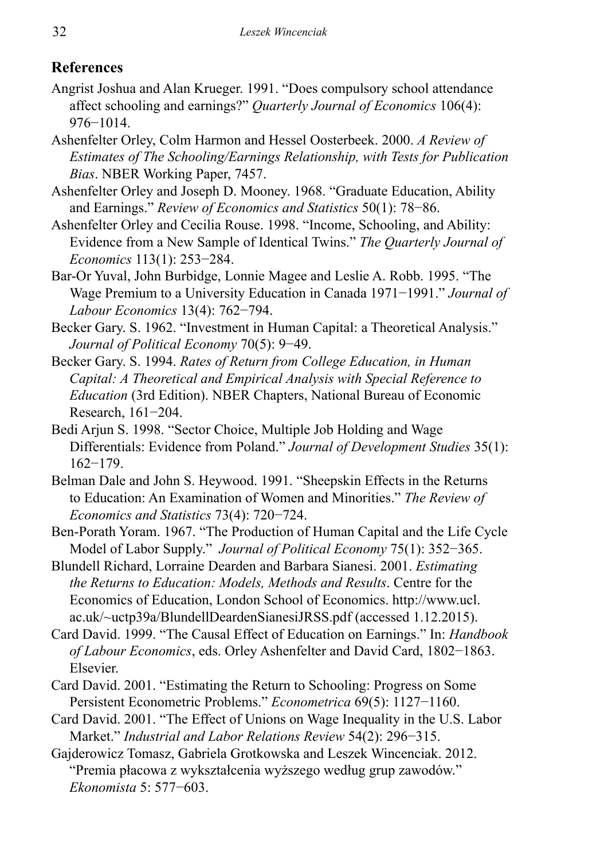# **References**

- Angrist Joshua and Alan Krueger. 1991. "Does compulsory school attendance affect schooling and earnings?" *Quarterly Journal of Economics* 106(4): 976−1014.
- Ashenfelter Orley, Colm Harmon and Hessel Oosterbeek. 2000. *A Review of Estimates of The Schooling/Earnings Relationship, with Tests for Publication Bias*. NBER Working Paper, 7457.
- Ashenfelter Orley and Joseph D. Mooney. 1968. "Graduate Education, Ability and Earnings." *Review of Economics and Statistics* 50(1): 78−86.
- Ashenfelter Orley and Cecilia Rouse. 1998. "Income, Schooling, and Ability: Evidence from a New Sample of Identical Twins." *The Quarterly Journal of Economics* 113(1): 253−284.
- Bar-Or Yuval, John Burbidge, Lonnie Magee and Leslie A. Robb. 1995. "The Wage Premium to a University Education in Canada 1971−1991." *Journal of Labour Economics* 13(4): 762−794.
- Becker Gary. S. 1962. "Investment in Human Capital: a Theoretical Analysis." *Journal of Political Economy* 70(5): 9−49.
- Becker Gary. S. 1994. *Rates of Return from College Education, in Human Capital: A Theoretical and Empirical Analysis with Special Reference to Education* (3rd Edition). NBER Chapters, National Bureau of Economic Research, 161−204.
- Bedi Arjun S. 1998. "Sector Choice, Multiple Job Holding and Wage Differentials: Evidence from Poland." *Journal of Development Studies* 35(1): 162−179.
- Belman Dale and John S. Heywood. 1991. "Sheepskin Effects in the Returns to Education: An Examination of Women and Minorities." *The Review of Economics and Statistics* 73(4): 720−724.
- Ben-Porath Yoram. 1967. "The Production of Human Capital and the Life Cycle Model of Labor Supply." *Journal of Political Economy* 75(1): 352−365.
- Blundell Richard, Lorraine Dearden and Barbara Sianesi. 2001. *Estimating the Returns to Education: Models, Methods and Results*. Centre for the Economics of Education, London School of Economics. http://www.ucl. ac.uk/~uctp39a/BlundellDeardenSianesiJRSS.pdf (accessed 1.12.2015).
- Card David. 1999. "The Causal Effect of Education on Earnings." In: *Handbook of Labour Economics*, eds. Orley Ashenfelter and David Card, 1802−1863. Elsevier.
- Card David. 2001. "Estimating the Return to Schooling: Progress on Some Persistent Econometric Problems." *Econometrica* 69(5): 1127−1160.
- Card David. 2001. "The Effect of Unions on Wage Inequality in the U.S. Labor Market." *Industrial and Labor Relations Review* 54(2): 296−315.
- Gajderowicz Tomasz, Gabriela Grotkowska and Leszek Wincenciak. 2012. "Premia płacowa z wykształcenia wyższego według grup zawodów." *Ekonomista* 5: 577−603.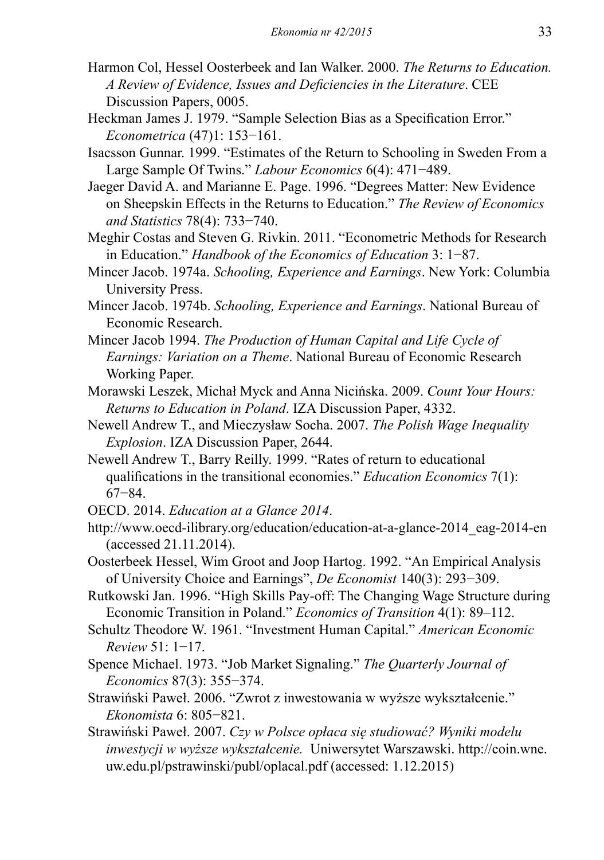- Harmon Col, Hessel Oosterbeek and Ian Walker. 2000. *The Returns to Education. A Review of Evidence, Issues and Deficiencies in the Literature*. CEE Discussion Papers, 0005.
- Heckman James J. 1979. "Sample Selection Bias as a Specification Error." *Econometrica* (47)1: 153−161.
- Isacsson Gunnar. 1999. "Estimates of the Return to Schooling in Sweden From a Large Sample Of Twins." *Labour Economics* 6(4): 471−489.
- Jaeger David A. and Marianne E. Page. 1996. "Degrees Matter: New Evidence on Sheepskin Effects in the Returns to Education." *The Review of Economics and Statistics* 78(4): 733−740.
- Meghir Costas and Steven G. Rivkin. 2011. "Econometric Methods for Research in Education." *Handbook of the Economics of Education* 3: 1−87.
- Mincer Jacob. 1974a. *Schooling, Experience and Earnings*. New York: Columbia University Press.
- Mincer Jacob. 1974b. *Schooling, Experience and Earnings*. National Bureau of Economic Research.
- Mincer Jacob 1994. *The Production of Human Capital and Life Cycle of Earnings: Variation on a Theme*. National Bureau of Economic Research Working Paper.
- Morawski Leszek, Michał Myck and Anna Nicińska. 2009. *Count Your Hours: Returns to Education in Poland*. IZA Discussion Paper, 4332.
- Newell Andrew T., and Mieczysław Socha. 2007. *The Polish Wage Inequality Explosion*. IZA Discussion Paper, 2644.
- Newell Andrew T., Barry Reilly. 1999. "Rates of return to educational qualifications in the transitional economies." *Education Economics* 7(1): 67−84.
- OECD. 2014. *Education at a Glance 2014*.
- http://www.oecd-ilibrary.org/education/education-at-a-glance-2014\_eag-2014-en (accessed 21.11.2014).
- Oosterbeek Hessel, Wim Groot and Joop Hartog. 1992. "An Empirical Analysis of University Choice and Earnings", *De Economist* 140(3): 293−309.
- Rutkowski Jan. 1996. "High Skills Pay-off: The Changing Wage Structure during Economic Transition in Poland." *Economics of Transition* 4(1): 89–112.
- Schultz Theodore W. 1961. "Investment Human Capital." *American Economic Review* 51: 1−17.
- Spence Michael. 1973. "Job Market Signaling." *The Quarterly Journal of Economics* 87(3): 355−374.
- Strawiński Paweł. 2006. "Zwrot z inwestowania w wyższe wykształcenie." *Ekonomista* 6: 805−821.
- Strawiński Paweł. 2007. *Czy w Polsce opłaca się studiować? Wyniki modelu inwestycji w wyższe wykształcenie.* Uniwersytet Warszawski. http://coin.wne. uw.edu.pl/pstrawinski/publ/oplacal.pdf (accessed: 1.12.2015)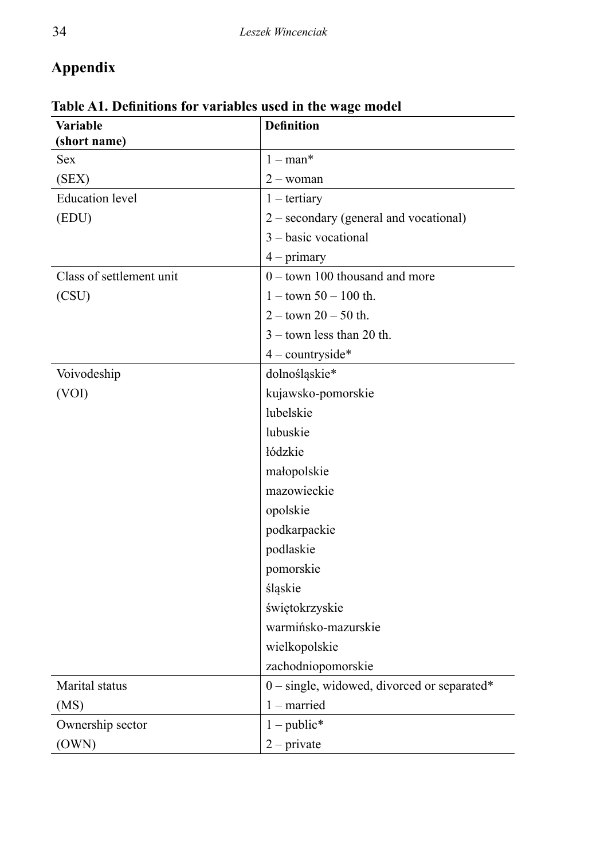# **Appendix**

| <b>Variable</b>          | <b>Definition</b>                           |
|--------------------------|---------------------------------------------|
| (short name)             |                                             |
| <b>Sex</b>               | $1 - man*$                                  |
| (SEX)                    | $2 - woman$                                 |
| <b>Education</b> level   | $1 -$ tertiary                              |
| (EDU)                    | 2 – secondary (general and vocational)      |
|                          | 3 - basic vocational                        |
|                          | $4 - primary$                               |
| Class of settlement unit | $0 -$ town 100 thousand and more            |
| (CSU)                    | $1 -$ town 50 $- 100$ th.                   |
|                          | $2 -$ town $20 - 50$ th.                    |
|                          | $3 -$ town less than 20 th.                 |
|                          | $4$ – countryside*                          |
| Voivodeship              | dolnośląskie*                               |
| (VOI)                    | kujawsko-pomorskie                          |
|                          | lubelskie                                   |
|                          | lubuskie                                    |
|                          | łódzkie                                     |
|                          | małopolskie                                 |
|                          | mazowieckie                                 |
|                          | opolskie                                    |
|                          | podkarpackie                                |
|                          | podlaskie                                   |
|                          | pomorskie                                   |
|                          | śląskie                                     |
|                          | świętokrzyskie                              |
|                          | warmińsko-mazurskie                         |
|                          | wielkopolskie                               |
|                          | zachodniopomorskie                          |
| Marital status           | 0 - single, widowed, divorced or separated* |
| (MS)                     | $1$ – married                               |
| Ownership sector         | $1 - \text{public*}$                        |
| (OWN)                    | $2$ – private                               |

**Table A1. Definitions for variables used in the wage model**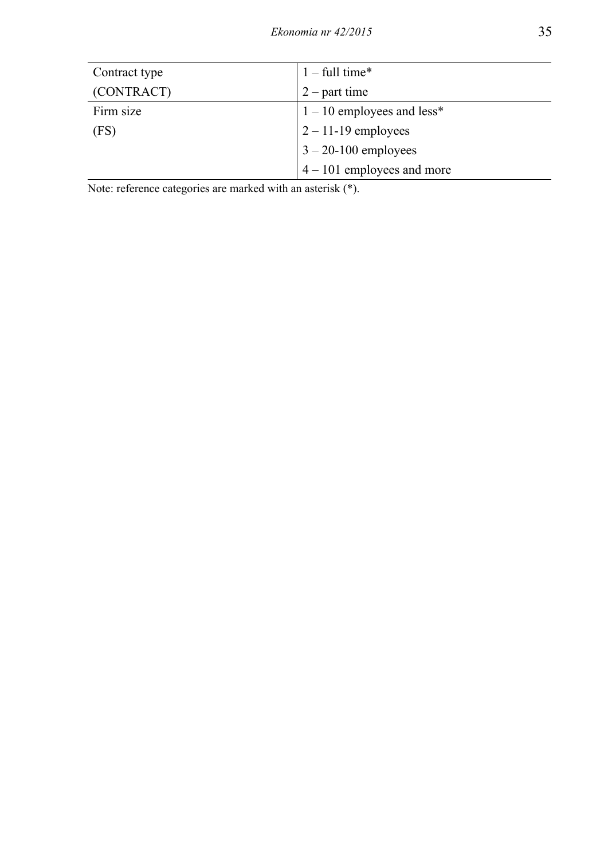| Contract type | $1 - full time*$             |
|---------------|------------------------------|
| (CONTRACT)    | $2$ – part time              |
| Firm size     | $1 - 10$ employees and less* |
| (FS)          | $2 - 11 - 19$ employees      |
|               | $3 - 20 - 100$ employees     |
|               | $4 - 101$ employees and more |

Note: reference categories are marked with an asterisk (\*).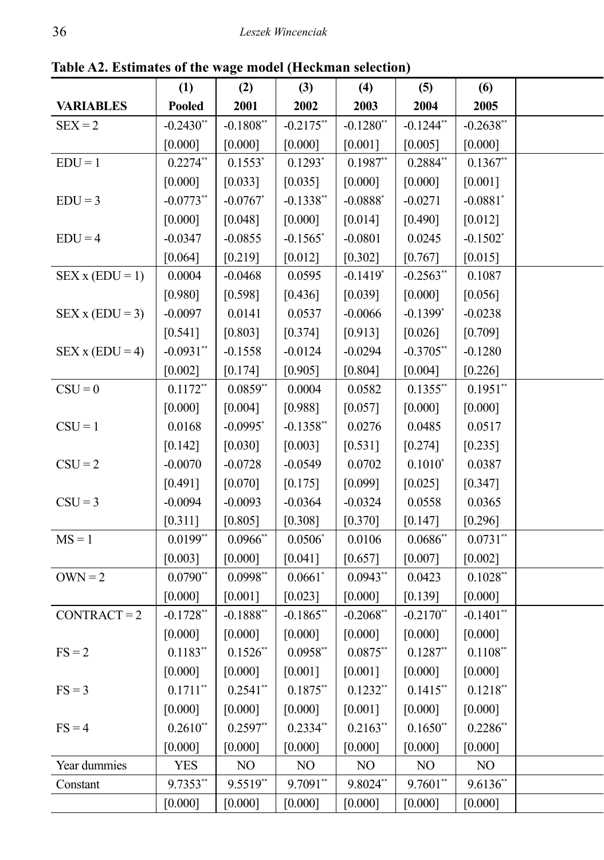|                       | (1)           | (2)          | (3)                    | (4)                    | (5)          | (6)                    |  |
|-----------------------|---------------|--------------|------------------------|------------------------|--------------|------------------------|--|
| <b>VARIABLES</b>      | Pooled        | 2001         | 2002                   | 2003                   | 2004         | 2005                   |  |
| $SEX = 2$             | $-0.2430**$   | $-0.1808**$  | $-0.2175$ **           | $-0.1280$ **           | $-0.1244$ ** | $-0.2638$ **           |  |
|                       | [0.000]       | [0.000]      | [0.000]                | [0.001]                | [0.005]      | [0.000]                |  |
| $EDU = 1$             | $0.2274**$    | $0.1553*$    | $0.1293*$              | $0.1987$ **            | $0.2884**$   | $0.1367**$             |  |
|                       | [0.000]       | [0.033]      | [0.035]                | [0.000]                | [0.000]      | $[0.001]$              |  |
| $EDU = 3$             | $-0.0773**$   | $-0.0767$    | $-0.1338$ **           | $-0.0888$ <sup>*</sup> | $-0.0271$    | $-0.0881$ <sup>*</sup> |  |
|                       | [0.000]       | [0.048]      | [0.000]                | [0.014]                | [0.490]      | $[0.012]$              |  |
| $EDU = 4$             | $-0.0347$     | $-0.0855$    | $-0.1565$ <sup>*</sup> | $-0.0801$              | 0.0245       | $-0.1502$ <sup>*</sup> |  |
|                       | [0.064]       | [0.219]      | [0.012]                | [0.302]                | [0.767]      | $[0.015]$              |  |
| $SEX$ x ( $EDU = 1$ ) | 0.0004        | $-0.0468$    | 0.0595                 | $-0.1419*$             | $-0.2563$ ** | 0.1087                 |  |
|                       | [0.980]       | [0.598]      | [0.436]                | [0.039]                | [0.000]      | $[0.056]$              |  |
| $SEX$ x ( $EDU = 3$ ) | $-0.0097$     | 0.0141       | 0.0537                 | $-0.0066$              | $-0.1399*$   | $-0.0238$              |  |
|                       | [0.541]       | [0.803]      | [0.374]                | [0.913]                | [0.026]      | $[0.709]$              |  |
| $SEX$ x ( $EDU = 4$ ) | $-0.0931$ **  | $-0.1558$    | $-0.0124$              | $-0.0294$              | $-0.3705$ ** | $-0.1280$              |  |
|                       | [0.002]       | [0.174]      | [0.905]                | [0.804]                | [0.004]      | $[0.226]$              |  |
| $CSU = 0$             | $0.1172**$    | $0.0859**$   | 0.0004                 | 0.0582                 | $0.1355$ **  | $0.1951**$             |  |
|                       |               | [0.004]      | [0.988]                | $[0.057]$              | [0.000]      | [0.000]                |  |
|                       | [0.000]       |              |                        |                        |              |                        |  |
| $CSU = 1$             | 0.0168        | $-0.0995$    | $-0.1358$ **           | 0.0276                 | 0.0485       | 0.0517                 |  |
|                       | [0.142]       | [0.030]      | [0.003]                | [0.531]                | [0.274]      | [0.235]                |  |
| $CSU = 2$             | $-0.0070$     | $-0.0728$    | $-0.0549$              | 0.0702                 | $0.1010*$    | 0.0387                 |  |
|                       | [0.491]       | [0.070]      | [0.175]                | [0.099]                | [0.025]      | $[0.347]$              |  |
| $CSU = 3$             | $-0.0094$     | $-0.0093$    | $-0.0364$              | $-0.0324$              | 0.0558       | 0.0365                 |  |
|                       | [0.311]       | [0.805]      | [0.308]                | [0.370]                | [0.147]      | $[0.296]$              |  |
| $MS = 1$              | $0.0199$ **   | $0.0966$ **  | $0.0506*$              | 0.0106                 | $0.0686$ **  | $0.0731**$             |  |
|                       | [0.003]       | [0.000]      | [0.041]                | [0.657]                | [0.007]      | $[0.002]$              |  |
| $OWN = 2$             | $0.0790**$    | $0.0998**$   | 0.0661                 | $0.0943**$             | 0.0423       | $0.1028**$             |  |
|                       | [0.000]       | $[0.001]$    | [0.023]                | [0.000]                | [0.139]      | [0.000]                |  |
| $CONTRACT = 2$        | $-0.1728**$   | $-0.1888$ ** | $-0.1865$ **           | $-0.2068$ **           | $-0.2170$ ** | $-0.1401$ **           |  |
|                       | [0.000]       | [0.000]      | [0.000]                | [0.000]                | [0.000]      | [0.000]                |  |
| $FS = 2$              | $0.1183**$    | $0.1526$ **  | $0.0958**$             | $0.0875**$             | $0.1287**$   | $0.1108**$             |  |
|                       | [0.000]       | [0.000]      | [0.001]                | $[0.001]$              | [0.000]      | [0.000]                |  |
| $FS = 3$              | $0.1711**$    | $0.2541$ **  | $0.1875$ **            | $0.1232**$             | $0.1415$ **  | $0.1218**$             |  |
|                       | [0.000]       | [0.000]      | [0.000]                | $[0.001]$              | [0.000]      | [0.000]                |  |
| $FS = 4$              | $0.2610^{**}$ | $0.2597$ **  | $0.2334$ *             | $0.2163$ **            | $0.1650$ **  | $0.2286**$             |  |
|                       |               |              |                        |                        |              |                        |  |
|                       | [0.000]       | [0.000]      | [0.000]                | [0.000]                | [0.000]      | [0.000]                |  |
| Year dummies          | <b>YES</b>    | NO           | N <sub>O</sub>         | NO                     | NO           | NO                     |  |
| Constant              | 9.7353**      | 9.5519**     | 9.7091**               | 9.8024**               | $9.7601$ **  | $9.6136**$             |  |
|                       | [0.000]       | [0.000]      | [0.000]                | [0.000]                | [0.000]      | [0.000]                |  |

**Table A2. Estimates of the wage model (Heckman selection)**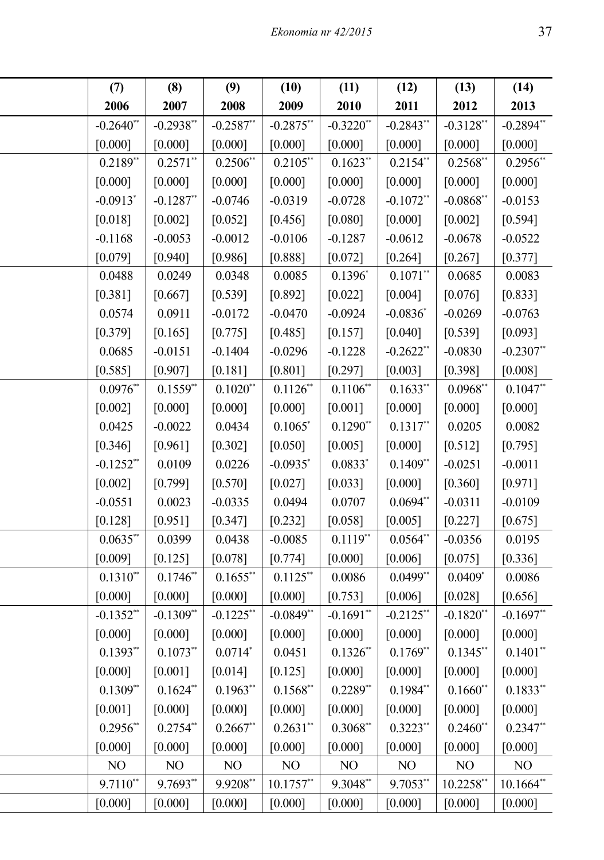| (7)<br>(8)<br>(14)<br>(9)<br>(10)<br>(11)<br>(12)<br>(13)<br>2006<br>2007<br>2008<br>2009<br>2010<br>2011<br>2012<br>2013<br>$-0.2938$ **<br>$-0.2894$ **<br>$-0.2587$ *<br>$-0.2875$<br>$-0.3220*$<br>$-0.2843$ **<br>$-0.3128$ <sup>*</sup><br>[0.000]<br>[0.000]<br>[0.000]<br>[0.000]<br>[0.000]<br>[0.000]<br>[0.000]<br>$0.2956$ **<br>$0.2571**$<br>$0.2506^{**}$<br>$0.2105$ **<br>$0.1623$ *<br>$0.2154$ **<br>$0.2568$ *<br>[0.000]<br>[0.000]<br>[0.000]<br>[0.000]<br>[0.000]<br>[0.000]<br>[0.000]<br>$-0.1287$ <sup>*</sup><br>$-0.0746$<br>$-0.0319$<br>$-0.0728$<br>$-0.1072$ <sup>*</sup><br>$-0.0868$ <sup>*</sup><br>$-0.0153$<br>[0.002]<br>[0.594]<br>$[0.002]$<br>[0.052]<br>[0.456]<br>[0.080]<br>[0.000]<br>$-0.0522$<br>$-0.0053$<br>$-0.0012$<br>$-0.0106$<br>$-0.1287$<br>$-0.0612$<br>$-0.0678$<br>[0.940]<br>[0.986]<br>[0.888]<br>$[0.072]$<br>$[0.264]$<br>[0.267]<br>[0.377]<br>0.1396<br>$0.1071$ <sup>*</sup><br>0.0083<br>0.0249<br>0.0348<br>0.0085<br>0.0685<br>[0.833]<br>[0.667]<br>$[0.539]$<br>$[0.892]$<br>[0.022]<br>[0.004]<br>[0.076]<br>$-0.0924$<br>$-0.0836$<br>$-0.0269$<br>$-0.0763$<br>0.0911<br>$-0.0172$<br>$-0.0470$<br>[0.093]<br>[0.040]<br>[0.165]<br>[0.775]<br>[0.485]<br>[0.157]<br>[0.539]<br>$-0.2307$ **<br>$-0.0151$<br>$-0.1404$<br>$-0.0296$<br>$-0.1228$<br>$-0.2622$ <sup>*</sup><br>$-0.0830$<br>[0.907]<br>[0.181]<br>[0.801]<br>[0.297]<br>[0.003]<br>[0.398]<br>[0.008]<br>$0.1106*$<br>$0.1047**$<br>$0.1559*$<br>$0.1020$ *<br>$0.1126*$<br>0.1633<br>$0.0968$ <sup>*</sup><br>[0.000]<br>[0.000]<br>[0.000]<br>[0.001]<br>[0.000]<br>[0.000]<br>[0.000]<br>$0.1317$ *<br>$-0.0022$<br>0.0434<br>0.1065<br>$0.1290$ *<br>0.0205<br>0.0082<br>[0.961]<br>$[0.302]$<br>[0.050]<br>[0.005]<br>[0.000]<br>[0.512]<br>[0.795]<br>0.0109<br>0.0226<br>$-0.0935$<br>$0.0833$ <sup>*</sup><br>$0.1409*$<br>$-0.0251$<br>$-0.0011$<br>[0.971]<br>[0.799]<br>[0.570]<br>[0.027]<br>[0.033]<br>[0.000]<br>[0.360] |                        |
|----------------------------------------------------------------------------------------------------------------------------------------------------------------------------------------------------------------------------------------------------------------------------------------------------------------------------------------------------------------------------------------------------------------------------------------------------------------------------------------------------------------------------------------------------------------------------------------------------------------------------------------------------------------------------------------------------------------------------------------------------------------------------------------------------------------------------------------------------------------------------------------------------------------------------------------------------------------------------------------------------------------------------------------------------------------------------------------------------------------------------------------------------------------------------------------------------------------------------------------------------------------------------------------------------------------------------------------------------------------------------------------------------------------------------------------------------------------------------------------------------------------------------------------------------------------------------------------------------------------------------------------------------------------------------------------------------------------------------------------------------------------------------------------------------------------------------------------------------------------------------------------------------------------------------------------------------------------------------------|------------------------|
|                                                                                                                                                                                                                                                                                                                                                                                                                                                                                                                                                                                                                                                                                                                                                                                                                                                                                                                                                                                                                                                                                                                                                                                                                                                                                                                                                                                                                                                                                                                                                                                                                                                                                                                                                                                                                                                                                                                                                                                  |                        |
|                                                                                                                                                                                                                                                                                                                                                                                                                                                                                                                                                                                                                                                                                                                                                                                                                                                                                                                                                                                                                                                                                                                                                                                                                                                                                                                                                                                                                                                                                                                                                                                                                                                                                                                                                                                                                                                                                                                                                                                  |                        |
|                                                                                                                                                                                                                                                                                                                                                                                                                                                                                                                                                                                                                                                                                                                                                                                                                                                                                                                                                                                                                                                                                                                                                                                                                                                                                                                                                                                                                                                                                                                                                                                                                                                                                                                                                                                                                                                                                                                                                                                  | $-0.2640$ **           |
|                                                                                                                                                                                                                                                                                                                                                                                                                                                                                                                                                                                                                                                                                                                                                                                                                                                                                                                                                                                                                                                                                                                                                                                                                                                                                                                                                                                                                                                                                                                                                                                                                                                                                                                                                                                                                                                                                                                                                                                  | [0.000]                |
|                                                                                                                                                                                                                                                                                                                                                                                                                                                                                                                                                                                                                                                                                                                                                                                                                                                                                                                                                                                                                                                                                                                                                                                                                                                                                                                                                                                                                                                                                                                                                                                                                                                                                                                                                                                                                                                                                                                                                                                  | $0.2189**$             |
|                                                                                                                                                                                                                                                                                                                                                                                                                                                                                                                                                                                                                                                                                                                                                                                                                                                                                                                                                                                                                                                                                                                                                                                                                                                                                                                                                                                                                                                                                                                                                                                                                                                                                                                                                                                                                                                                                                                                                                                  | [0.000]                |
|                                                                                                                                                                                                                                                                                                                                                                                                                                                                                                                                                                                                                                                                                                                                                                                                                                                                                                                                                                                                                                                                                                                                                                                                                                                                                                                                                                                                                                                                                                                                                                                                                                                                                                                                                                                                                                                                                                                                                                                  | $-0.0913$ <sup>*</sup> |
|                                                                                                                                                                                                                                                                                                                                                                                                                                                                                                                                                                                                                                                                                                                                                                                                                                                                                                                                                                                                                                                                                                                                                                                                                                                                                                                                                                                                                                                                                                                                                                                                                                                                                                                                                                                                                                                                                                                                                                                  | [0.018]                |
|                                                                                                                                                                                                                                                                                                                                                                                                                                                                                                                                                                                                                                                                                                                                                                                                                                                                                                                                                                                                                                                                                                                                                                                                                                                                                                                                                                                                                                                                                                                                                                                                                                                                                                                                                                                                                                                                                                                                                                                  | $-0.1168$              |
|                                                                                                                                                                                                                                                                                                                                                                                                                                                                                                                                                                                                                                                                                                                                                                                                                                                                                                                                                                                                                                                                                                                                                                                                                                                                                                                                                                                                                                                                                                                                                                                                                                                                                                                                                                                                                                                                                                                                                                                  | [0.079]                |
|                                                                                                                                                                                                                                                                                                                                                                                                                                                                                                                                                                                                                                                                                                                                                                                                                                                                                                                                                                                                                                                                                                                                                                                                                                                                                                                                                                                                                                                                                                                                                                                                                                                                                                                                                                                                                                                                                                                                                                                  | 0.0488                 |
|                                                                                                                                                                                                                                                                                                                                                                                                                                                                                                                                                                                                                                                                                                                                                                                                                                                                                                                                                                                                                                                                                                                                                                                                                                                                                                                                                                                                                                                                                                                                                                                                                                                                                                                                                                                                                                                                                                                                                                                  | [0.381]                |
|                                                                                                                                                                                                                                                                                                                                                                                                                                                                                                                                                                                                                                                                                                                                                                                                                                                                                                                                                                                                                                                                                                                                                                                                                                                                                                                                                                                                                                                                                                                                                                                                                                                                                                                                                                                                                                                                                                                                                                                  | 0.0574                 |
|                                                                                                                                                                                                                                                                                                                                                                                                                                                                                                                                                                                                                                                                                                                                                                                                                                                                                                                                                                                                                                                                                                                                                                                                                                                                                                                                                                                                                                                                                                                                                                                                                                                                                                                                                                                                                                                                                                                                                                                  | [0.379]                |
|                                                                                                                                                                                                                                                                                                                                                                                                                                                                                                                                                                                                                                                                                                                                                                                                                                                                                                                                                                                                                                                                                                                                                                                                                                                                                                                                                                                                                                                                                                                                                                                                                                                                                                                                                                                                                                                                                                                                                                                  | 0.0685                 |
|                                                                                                                                                                                                                                                                                                                                                                                                                                                                                                                                                                                                                                                                                                                                                                                                                                                                                                                                                                                                                                                                                                                                                                                                                                                                                                                                                                                                                                                                                                                                                                                                                                                                                                                                                                                                                                                                                                                                                                                  | [0.585]                |
|                                                                                                                                                                                                                                                                                                                                                                                                                                                                                                                                                                                                                                                                                                                                                                                                                                                                                                                                                                                                                                                                                                                                                                                                                                                                                                                                                                                                                                                                                                                                                                                                                                                                                                                                                                                                                                                                                                                                                                                  | $0.0976$ **            |
|                                                                                                                                                                                                                                                                                                                                                                                                                                                                                                                                                                                                                                                                                                                                                                                                                                                                                                                                                                                                                                                                                                                                                                                                                                                                                                                                                                                                                                                                                                                                                                                                                                                                                                                                                                                                                                                                                                                                                                                  | [0.002]                |
|                                                                                                                                                                                                                                                                                                                                                                                                                                                                                                                                                                                                                                                                                                                                                                                                                                                                                                                                                                                                                                                                                                                                                                                                                                                                                                                                                                                                                                                                                                                                                                                                                                                                                                                                                                                                                                                                                                                                                                                  | 0.0425                 |
|                                                                                                                                                                                                                                                                                                                                                                                                                                                                                                                                                                                                                                                                                                                                                                                                                                                                                                                                                                                                                                                                                                                                                                                                                                                                                                                                                                                                                                                                                                                                                                                                                                                                                                                                                                                                                                                                                                                                                                                  | [0.346]                |
|                                                                                                                                                                                                                                                                                                                                                                                                                                                                                                                                                                                                                                                                                                                                                                                                                                                                                                                                                                                                                                                                                                                                                                                                                                                                                                                                                                                                                                                                                                                                                                                                                                                                                                                                                                                                                                                                                                                                                                                  | $-0.1252$ *            |
|                                                                                                                                                                                                                                                                                                                                                                                                                                                                                                                                                                                                                                                                                                                                                                                                                                                                                                                                                                                                                                                                                                                                                                                                                                                                                                                                                                                                                                                                                                                                                                                                                                                                                                                                                                                                                                                                                                                                                                                  | [0.002]                |
| 0.0023<br>0.0707<br>$0.0694$ **<br>$-0.0311$<br>$-0.0109$<br>$-0.0335$<br>0.0494                                                                                                                                                                                                                                                                                                                                                                                                                                                                                                                                                                                                                                                                                                                                                                                                                                                                                                                                                                                                                                                                                                                                                                                                                                                                                                                                                                                                                                                                                                                                                                                                                                                                                                                                                                                                                                                                                                 | $-0.0551$              |
| $[0.951]$<br>[0.347]<br>[0.232]<br>[0.058]<br>[0.005]<br>[0.227]<br>[0.675]                                                                                                                                                                                                                                                                                                                                                                                                                                                                                                                                                                                                                                                                                                                                                                                                                                                                                                                                                                                                                                                                                                                                                                                                                                                                                                                                                                                                                                                                                                                                                                                                                                                                                                                                                                                                                                                                                                      | [0.128]                |
| $0.1119$ *<br>0.0399<br>0.0438<br>$-0.0085$<br>$0.0564$ <sup>*</sup><br>$-0.0356$<br>0.0195                                                                                                                                                                                                                                                                                                                                                                                                                                                                                                                                                                                                                                                                                                                                                                                                                                                                                                                                                                                                                                                                                                                                                                                                                                                                                                                                                                                                                                                                                                                                                                                                                                                                                                                                                                                                                                                                                      | $0.0635$ **            |
| [0.078]<br>[0.000]<br>[0.006]<br>[0.075]<br>[0.336]<br>[0.125]<br>[0.774]                                                                                                                                                                                                                                                                                                                                                                                                                                                                                                                                                                                                                                                                                                                                                                                                                                                                                                                                                                                                                                                                                                                                                                                                                                                                                                                                                                                                                                                                                                                                                                                                                                                                                                                                                                                                                                                                                                        | [0.009]                |
| $0.1746**$<br>$0.1655$ **<br>$0.1125$ **<br>$0.0499$ <sup>*</sup><br>0.0409<br>0.0086<br>0.0086                                                                                                                                                                                                                                                                                                                                                                                                                                                                                                                                                                                                                                                                                                                                                                                                                                                                                                                                                                                                                                                                                                                                                                                                                                                                                                                                                                                                                                                                                                                                                                                                                                                                                                                                                                                                                                                                                  | $0.1310**$             |
| [0.000]<br>[0.000]<br>[0.000]<br>[0.753]<br>[0.006]<br>[0.028]<br>[0.656]                                                                                                                                                                                                                                                                                                                                                                                                                                                                                                                                                                                                                                                                                                                                                                                                                                                                                                                                                                                                                                                                                                                                                                                                                                                                                                                                                                                                                                                                                                                                                                                                                                                                                                                                                                                                                                                                                                        | [0.000]                |
| $-0.1691$ *<br>$-0.1697**$<br>$-0.1309$ *<br>$-0.1225$ **<br>$-0.0849$ *<br>$-0.2125$ *<br>$-0.1820$                                                                                                                                                                                                                                                                                                                                                                                                                                                                                                                                                                                                                                                                                                                                                                                                                                                                                                                                                                                                                                                                                                                                                                                                                                                                                                                                                                                                                                                                                                                                                                                                                                                                                                                                                                                                                                                                             | $-0.1352$ **           |
| [0.000]<br>[0.000]<br>[0.000]<br>[0.000]<br>[0.000]<br>[0.000]<br>[0.000]                                                                                                                                                                                                                                                                                                                                                                                                                                                                                                                                                                                                                                                                                                                                                                                                                                                                                                                                                                                                                                                                                                                                                                                                                                                                                                                                                                                                                                                                                                                                                                                                                                                                                                                                                                                                                                                                                                        | [0.000]                |
| $0.1073**$<br>$0.0714*$<br>$0.1326**$<br>$0.1345**$<br>$0.1401**$<br>0.0451<br>$0.1769**$                                                                                                                                                                                                                                                                                                                                                                                                                                                                                                                                                                                                                                                                                                                                                                                                                                                                                                                                                                                                                                                                                                                                                                                                                                                                                                                                                                                                                                                                                                                                                                                                                                                                                                                                                                                                                                                                                        | $0.1393**$             |
| [0.000]<br>[0.000]<br>[0.001]<br>[0.014]<br>[0.125]<br>[0.000]<br>[0.000]                                                                                                                                                                                                                                                                                                                                                                                                                                                                                                                                                                                                                                                                                                                                                                                                                                                                                                                                                                                                                                                                                                                                                                                                                                                                                                                                                                                                                                                                                                                                                                                                                                                                                                                                                                                                                                                                                                        | [0.000]                |
| $0.1624**$<br>$0.1963**$<br>$0.2289$ **<br>$0.1984^{**}$<br>$0.1833**$<br>$0.1568$ **<br>$0.1660$ **                                                                                                                                                                                                                                                                                                                                                                                                                                                                                                                                                                                                                                                                                                                                                                                                                                                                                                                                                                                                                                                                                                                                                                                                                                                                                                                                                                                                                                                                                                                                                                                                                                                                                                                                                                                                                                                                             | $0.1309**$             |
| [0.000]<br>[0.000]<br>[0.000]<br>[0.000]<br>[0.000]<br>[0.000]<br>[0.000]                                                                                                                                                                                                                                                                                                                                                                                                                                                                                                                                                                                                                                                                                                                                                                                                                                                                                                                                                                                                                                                                                                                                                                                                                                                                                                                                                                                                                                                                                                                                                                                                                                                                                                                                                                                                                                                                                                        | $[0.001]$              |
| $0.2667**$<br>$0.3068$ **<br>$0.3223$ **<br>$0.2347**$<br>$0.2754$ **<br>$0.2631$ **<br>$0.2460$ *                                                                                                                                                                                                                                                                                                                                                                                                                                                                                                                                                                                                                                                                                                                                                                                                                                                                                                                                                                                                                                                                                                                                                                                                                                                                                                                                                                                                                                                                                                                                                                                                                                                                                                                                                                                                                                                                               | $0.2956$ **            |
| [0.000]<br>[0.000]<br>[0.000]<br>[0.000]<br>[0.000]<br>[0.000]<br>$[0.000]$                                                                                                                                                                                                                                                                                                                                                                                                                                                                                                                                                                                                                                                                                                                                                                                                                                                                                                                                                                                                                                                                                                                                                                                                                                                                                                                                                                                                                                                                                                                                                                                                                                                                                                                                                                                                                                                                                                      | [0.000]                |
| NO<br>N <sub>O</sub><br>NO<br>NO<br>N <sub>O</sub><br>NO<br>NO<br>NO                                                                                                                                                                                                                                                                                                                                                                                                                                                                                                                                                                                                                                                                                                                                                                                                                                                                                                                                                                                                                                                                                                                                                                                                                                                                                                                                                                                                                                                                                                                                                                                                                                                                                                                                                                                                                                                                                                             |                        |
| 9.9208**<br>9.7693**<br>$10.1757**$<br>9.3048**<br>9.7053*<br>10.2258*<br>10.1664**                                                                                                                                                                                                                                                                                                                                                                                                                                                                                                                                                                                                                                                                                                                                                                                                                                                                                                                                                                                                                                                                                                                                                                                                                                                                                                                                                                                                                                                                                                                                                                                                                                                                                                                                                                                                                                                                                              | $9.7110**$             |
| [0.000]<br>[0.000]<br>[0.000]<br>[0.000]<br>[0.000]<br>[0.000]<br>[0.000]                                                                                                                                                                                                                                                                                                                                                                                                                                                                                                                                                                                                                                                                                                                                                                                                                                                                                                                                                                                                                                                                                                                                                                                                                                                                                                                                                                                                                                                                                                                                                                                                                                                                                                                                                                                                                                                                                                        | [0.000]                |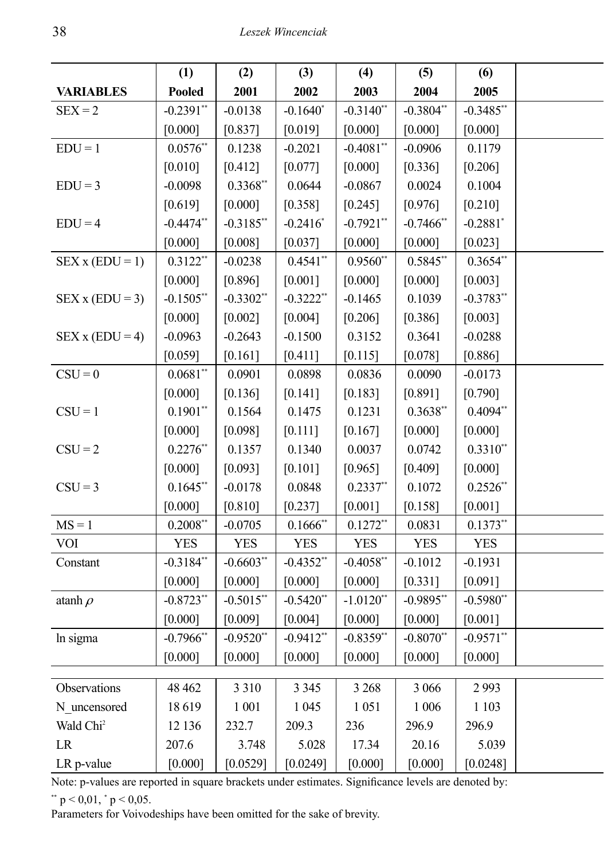|                       | (1)                     | (2)          | (3)          | (4)          | (5)          | (6)                    |  |
|-----------------------|-------------------------|--------------|--------------|--------------|--------------|------------------------|--|
| <b>VARIABLES</b>      | Pooled                  | 2001         | 2002         | 2003         | 2004         | 2005                   |  |
| $SEX = 2$             | $-0.2391$ **            | $-0.0138$    | $-0.1640*$   | $-0.3140$ ** | $-0.3804**$  | $-0.3485**$            |  |
|                       | [0.000]                 | [0.837]      | $[0.019]$    | [0.000]      | [0.000]      | [0.000]                |  |
| $EDU = 1$             | $0.0576**$              | 0.1238       | $-0.2021$    | $-0.4081$ ** | $-0.0906$    | 0.1179                 |  |
|                       | $[0.010]$               | [0.412]      | [0.077]      | [0.000]      | [0.336]      | $[0.206]$              |  |
| $EDU = 3$             | $-0.0098$               | $0.3368$ **  | 0.0644       | $-0.0867$    | 0.0024       | 0.1004                 |  |
|                       | [0.619]                 | [0.000]      | $[0.358]$    | [0.245]      | [0.976]      | $[0.210]$              |  |
| $EDU = 4$             | $-0.4474$ <sup>**</sup> | $-0.3185$ ** | $-0.2416$    | $-0.7921$ ** | $-0.7466$ *  | $-0.2881$ <sup>*</sup> |  |
|                       | [0.000]                 | [0.008]      | [0.037]      | [0.000]      | [0.000]      | $[0.023]$              |  |
| $SEX$ x ( $EDU = 1$ ) | $0.3122$ **             | $-0.0238$    | $0.4541**$   | $0.9560$ **  | $0.5845$ **  | $0.3654**$             |  |
|                       | $[0.000]$               | [0.896]      | $[0.001]$    | [0.000]      | [0.000]      | $[0.003]$              |  |
| $SEX$ x ( $EDU = 3$ ) | $-0.1505$ **            | $-0.3302$ ** | $-0.3222$ ** | $-0.1465$    | 0.1039       | $-0.3783**$            |  |
|                       | [0.000]                 | [0.002]      | $[0.004]$    | [0.206]      | [0.386]      | $[0.003]$              |  |
| $SEX$ x ( $EDU = 4$ ) | $-0.0963$               | $-0.2643$    | $-0.1500$    | 0.3152       | 0.3641       | $-0.0288$              |  |
|                       | [0.059]                 | [0.161]      | [0.411]      | [0.115]      | [0.078]      | $[0.886]$              |  |
| $CSU = 0$             | $0.0681**$              | 0.0901       | 0.0898       | 0.0836       | 0.0090       | $-0.0173$              |  |
|                       | [0.000]                 | [0.136]      | $[0.141]$    | [0.183]      | [0.891]      | $[0.790]$              |  |
| $CSU = 1$             | $0.1901$ **             | 0.1564       | 0.1475       | 0.1231       | $0.3638**$   | $0.4094**$             |  |
|                       | [0.000]                 | [0.098]      | [0.111]      | [0.167]      | [0.000]      | $[0.000]$              |  |
| $CSU = 2$             | $0.2276$ **             | 0.1357       | 0.1340       | 0.0037       | 0.0742       | $0.3310**$             |  |
|                       |                         |              |              |              |              |                        |  |
|                       | [0.000]                 | [0.093]      | $[0.101]$    | [0.965]      | [0.409]      | $[0.000]$              |  |
| $CSU = 3$             | $0.1645$ **             | $-0.0178$    | 0.0848       | $0.2337$ **  | 0.1072       | $0.2526$ **            |  |
|                       | [0.000]                 | $[0.810]$    | $[0.237]$    | $[0.001]$    | [0.158]      | $[0.001]$              |  |
| $MS = 1$              | $0.2008**$              | $-0.0705$    | $0.1666$ *   | $0.1272**$   | 0.0831       | $0.1373**$             |  |
| <b>VOI</b>            | <b>YES</b>              | <b>YES</b>   | <b>YES</b>   | <b>YES</b>   | <b>YES</b>   | YES                    |  |
| Constant              | $-0.3184$ **            | $-0.6603$ ** | $-0.4352$ ** | $-0.4058$ ** | $-0.1012$    | $-0.1931$              |  |
|                       | [0.000]                 | [0.000]      | [0.000]      | [0.000]      | [0.331]      | $[0.091]$              |  |
| atanh $\rho$          | $-0.8723**$             | $-0.5015$ ** | $-0.5420**$  | $-1.0120$ ** | $-0.9895$ ** | $-0.5980**$            |  |
|                       | [0.000]                 | [0.009]      | [0.004]      | [0.000]      | [0.000]      | [0.001]                |  |
| In sigma              | $-0.7966$ **            | $-0.9520$ ** | $-0.9412**$  | $-0.8359**$  | $-0.8070**$  | $-0.9571$ **           |  |
|                       | [0.000]                 | [0.000]      | [0.000]      | [0.000]      | [0.000]      | [0.000]                |  |
|                       |                         |              |              |              |              |                        |  |
| Observations          | 48 4 62                 | 3 3 1 0      | 3 3 4 5      | 3 2 6 8      | 3 0 6 6      | 2993                   |  |
| N_uncensored          | 18619                   | 1 0 0 1      | 1 0 4 5      | 1 0 5 1      | 1 0 0 6      | 1 1 0 3                |  |
| Wald Chi <sup>2</sup> | 12 136                  | 232.7        | 209.3        | 236          | 296.9        | 296.9                  |  |
| $\rm LR$              | 207.6                   | 3.748        | 5.028        | 17.34        | 20.16        | 5.039                  |  |
| LR p-value            | [0.000]                 | [0.0529]     | [0.0249]     | $[0.000]$    | [0.000]      | [0.0248]               |  |

Note: p-values are reported in square brackets under estimates. Significance levels are denoted by:  $*$   $p < 0.01$ ,  $*$   $p < 0.05$ .

Parameters for Voivodeships have been omitted for the sake of brevity.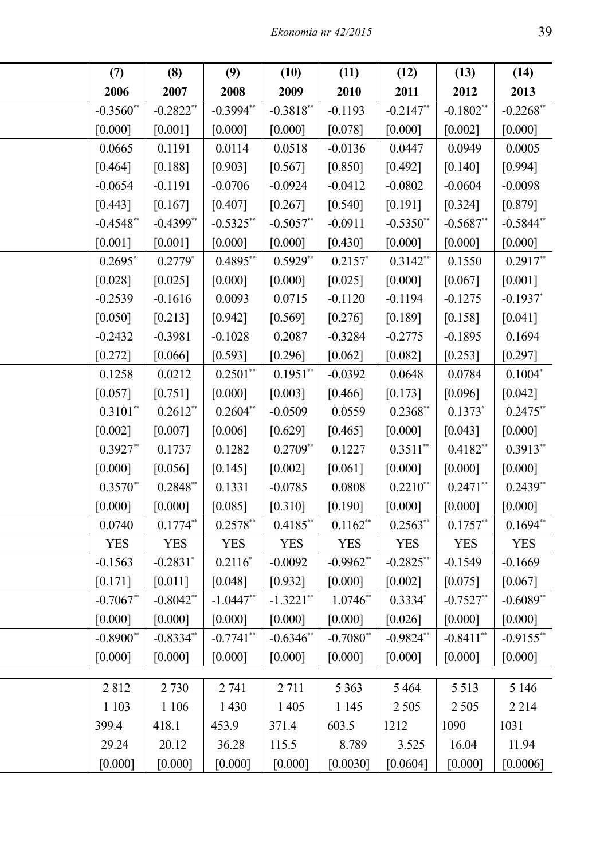| (7)          | (8)                    | (9)          | (10)                  | (11)        | (12)                  | (13)                  | (14)         |
|--------------|------------------------|--------------|-----------------------|-------------|-----------------------|-----------------------|--------------|
| 2006         | 2007                   | 2008         | 2009                  | 2010        | 2011                  | 2012                  | 2013         |
| $-0.3560$ ** | $-0.2822$ <sup>*</sup> | $-0.3994**$  | $-0.3818*$            | $-0.1193$   | $-0.2147$ *           | $-0.1802$ *           | $-0.2268**$  |
| [0.000]      | [0.001]                | [0.000]      | [0.000]               | [0.078]     | [0.000]               | [0.002]               | [0.000]      |
| 0.0665       | 0.1191                 | 0.0114       | 0.0518                | $-0.0136$   | 0.0447                | 0.0949                | 0.0005       |
| [0.464]      | [0.188]                | [0.903]      | [0.567]               | [0.850]     | [0.492]               | [0.140]               | [0.994]      |
| $-0.0654$    | $-0.1191$              | $-0.0706$    | $-0.0924$             | $-0.0412$   | $-0.0802$             | $-0.0604$             | $-0.0098$    |
| [0.443]      | [0.167]                | [0.407]      | [0.267]               | [0.540]     | [0.191]               | [0.324]               | [0.879]      |
| $-0.4548$ ** | $-0.4399$ **           | $-0.5325$ *  | $-0.5057$             | $-0.0911$   | $-0.5350*$            | $-0.5687$             | $-0.5844$ ** |
| [0.001]      | [0.001]                | [0.000]      | [0.000]               | [0.430]     | [0.000]               | [0.000]               | [0.000]      |
| 0.2695       | $0.2779*$              | 0.4895*      | $0.5929$ <sup>*</sup> | 0.2157      | $0.3142$ **           | 0.1550                | $0.2917**$   |
| [0.028]      | [0.025]                | [0.000]      | [0.000]               | [0.025]     | [0.000]               | [0.067]               | [0.001]      |
| $-0.2539$    | $-0.1616$              | 0.0093       | 0.0715                | $-0.1120$   | $-0.1194$             | $-0.1275$             | $-0.1937$ *  |
| [0.050]      | [0.213]                | [0.942]      | [0.569]               | [0.276]     | [0.189]               | [0.158]               | [0.041]      |
| $-0.2432$    | $-0.3981$              | $-0.1028$    | 0.2087                | $-0.3284$   | $-0.2775$             | $-0.1895$             | 0.1694       |
| [0.272]      | [0.066]                | [0.593]      | [0.296]               | [0.062]     | [0.082]               | [0.253]               | [0.297]      |
| 0.1258       | 0.0212                 | $0.2501**$   | 0.1951                | $-0.0392$   | 0.0648                | 0.0784                | $0.1004*$    |
| [0.057]      | [0.751]                | [0.000]      | [0.003]               | [0.466]     | [0.173]               | [0.096]               | [0.042]      |
| $0.3101$ **  | $0.2612$ *             | $0.2604**$   | $-0.0509$             | 0.0559      | $0.2368$ *            | 0.1373                | $0.2475$ **  |
| $[0.002]$    | $[0.007]$              | [0.006]      | [0.629]               | [0.465]     | [0.000]               | [0.043]               | [0.000]      |
| $0.3927$ **  | 0.1737                 | 0.1282       | $0.2709$ <sup>*</sup> | 0.1227      | $0.3511$ <sup>*</sup> | $0.4182*$             | $0.3913**$   |
| [0.000]      | [0.056]                | [0.145]      | $[0.002]$             | [0.061]     | [0.000]               | [0.000]               | [0.000]      |
| $0.3570$ **  | 0.2848*                | 0.1331       | $-0.0785$             | 0.0808      | 0.2210                | $0.2471$ <sup>*</sup> | $0.2439**$   |
| [0.000]      | [0.000]                | [0.085]      | [0.310]               | [0.190]     | [0.000]               | [0.000]               | [0.000]      |
| 0.0740       | $0.1774$ *             | $0.2578$ *   | 0.4185*               | $0.1162$ *  | $0.2563*$             | $0.1757$ *            | $0.1694$ **  |
| <b>YES</b>   | <b>YES</b>             | <b>YES</b>   | <b>YES</b>            | <b>YES</b>  | <b>YES</b>            | <b>YES</b>            | <b>YES</b>   |
| $-0.1563$    | $-0.2831$ <sup>*</sup> | $0.2116*$    | $-0.0092$             | $-0.9962$ * | $-0.2825$ *           | $-0.1549$             | $-0.1669$    |
| [0.171]      | [0.011]                | [0.048]      | [0.932]               | [0.000]     | [0.002]               | [0.075]               | [0.067]      |
| $-0.7067$ ** | $-0.8042$ **           | $-1.0447**$  | $-1.3221$ **          | $1.0746**$  | 0.3334                | $-0.7527$ *           | $-0.6089**$  |
| [0.000]      | [0.000]                | [0.000]      | [0.000]               | [0.000]     | [0.026]               | [0.000]               | [0.000]      |
| $-0.8900**$  | $-0.8334**$            | $-0.7741$ ** | $-0.6346**$           | $-0.7080**$ | $-0.9824**$           | $-0.8411$ **          | $-0.9155***$ |
| [0.000]      | [0.000]                | [0.000]      | [0.000]               | [0.000]     | [0.000]               | [0.000]               | [0.000]      |
|              |                        |              |                       |             |                       |                       |              |
| 2812         | 2 7 3 0                | 2 741        | 2 7 1 1               | 5 3 6 3     | 5464                  | 5 5 1 3               | 5 1 4 6      |
| 1 1 0 3      | 1 1 0 6                | 1 4 3 0      | 1 4 0 5               | 1 1 4 5     | 2 5 0 5               | 2 5 0 5               | 2 2 1 4      |
| 399.4        | 418.1                  | 453.9        | 371.4                 | 603.5       | 1212                  | 1090                  | 1031         |
| 29.24        | 20.12                  | 36.28        | 115.5                 | 8.789       | 3.525                 | 16.04                 | 11.94        |
| [0.000]      | [0.000]                | [0.000]      | [0.000]               | [0.0030]    | [0.0604]              | [0.000]               | [0.0006]     |